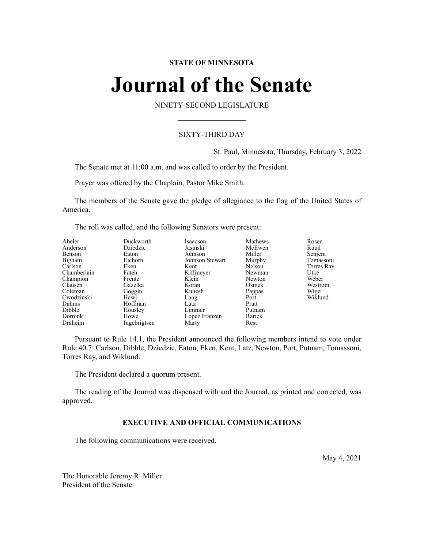# **STATE OF MINNESOTA**

# **Journal of the Senate**

NINETY-SECOND LEGISLATURE

# SIXTY-THIRD DAY

St. Paul, Minnesota, Thursday, February 3, 2022

The Senate met at 11:00 a.m. and was called to order by the President.

Prayer was offered by the Chaplain, Pastor Mike Smith.

The members of the Senate gave the pledge of allegiance to the flag of the United States of America.

The roll was called, and the following Senators were present:

| Abeler<br>Anderson<br>Benson<br>Bigham<br>Carlson<br>Chamberlain<br>Champion<br>Clausen<br>Coleman<br>Cwodzinski<br>Dahms<br>Dibble | Duckworth<br>Dziedzic<br>Eaton<br>Eichorn<br>Eken<br>Fateh<br>Frentz<br>Gazelka<br>Goggin<br>Hawj<br>Hoffman<br>Housley | Isaacson<br>Jasinski<br>Johnson<br>Johnson Stewart<br>Kent<br>Kiffmeyer<br>Klein<br>Koran<br>Kunesh<br>Lang<br>Latz<br>Limmer | Mathews<br>McEwen<br>Miller<br>Murphy<br>Nelson<br>Newman<br>Newton<br>Osmek<br>Pappas<br>Port<br>Pratt<br>Putnam | Rosen<br>Ruud<br>Senjem<br>Tomassoni<br>Torres Ray<br>Utke<br>Weber<br>Westrom<br>Wiger<br>Wiklund |
|-------------------------------------------------------------------------------------------------------------------------------------|-------------------------------------------------------------------------------------------------------------------------|-------------------------------------------------------------------------------------------------------------------------------|-------------------------------------------------------------------------------------------------------------------|----------------------------------------------------------------------------------------------------|
| Dornink<br>Draheim                                                                                                                  | Howe<br>Ingebrigtsen                                                                                                    | López Franzen<br>Marty                                                                                                        | Rarick<br>Rest                                                                                                    |                                                                                                    |
|                                                                                                                                     |                                                                                                                         |                                                                                                                               |                                                                                                                   |                                                                                                    |

Pursuant to Rule 14.1, the President announced the following members intend to vote under Rule 40.7: Carlson, Dibble, Dziedzic, Eaton, Eken, Kent, Latz, Newton, Port, Putnam, Tomassoni, Torres Ray, and Wiklund.

The President declared a quorum present.

The reading of the Journal was dispensed with and the Journal, as printed and corrected, was approved.

# **EXECUTIVE AND OFFICIAL COMMUNICATIONS**

The following communications were received.

May 4, 2021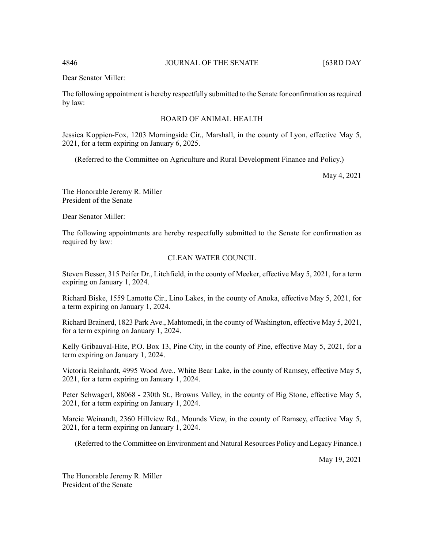The following appointment is hereby respectfully submitted to the Senate for confirmation as required by law:

# BOARD OF ANIMAL HEALTH

Jessica Koppien-Fox, 1203 Morningside Cir., Marshall, in the county of Lyon, effective May 5, 2021, for a term expiring on January 6, 2025.

(Referred to the Committee on Agriculture and Rural Development Finance and Policy.)

May 4, 2021

The Honorable Jeremy R. Miller President of the Senate

Dear Senator Miller:

The following appointments are hereby respectfully submitted to the Senate for confirmation as required by law:

# CLEAN WATER COUNCIL

Steven Besser, 315 Peifer Dr., Litchfield, in the county of Meeker, effective May 5, 2021, for a term expiring on January 1, 2024.

Richard Biske, 1559 Lamotte Cir., Lino Lakes, in the county of Anoka, effective May 5, 2021, for a term expiring on January 1, 2024.

Richard Brainerd, 1823 Park Ave., Mahtomedi, in the county of Washington, effective May 5, 2021, for a term expiring on January 1, 2024.

Kelly Gribauval-Hite, P.O. Box 13, Pine City, in the county of Pine, effective May 5, 2021, for a term expiring on January 1, 2024.

Victoria Reinhardt, 4995 Wood Ave., White Bear Lake, in the county of Ramsey, effective May 5, 2021, for a term expiring on January 1, 2024.

Peter Schwagerl, 88068 - 230th St., Browns Valley, in the county of Big Stone, effective May 5, 2021, for a term expiring on January 1, 2024.

Marcie Weinandt, 2360 Hillview Rd., Mounds View, in the county of Ramsey, effective May 5, 2021, for a term expiring on January 1, 2024.

(Referred to the Committee on Environment and Natural Resources Policy and Legacy Finance.)

May 19, 2021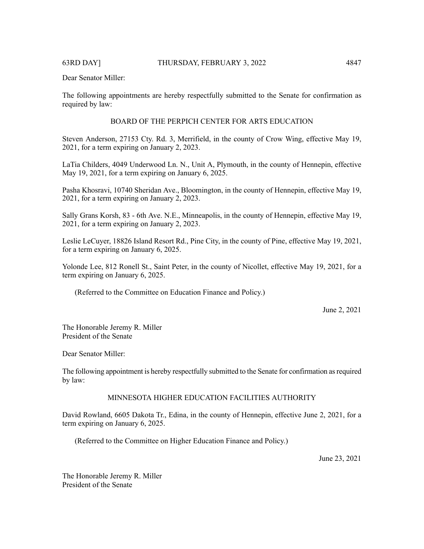The following appointments are hereby respectfully submitted to the Senate for confirmation as required by law:

# BOARD OF THE PERPICH CENTER FOR ARTS EDUCATION

Steven Anderson, 27153 Cty. Rd. 3, Merrifield, in the county of Crow Wing, effective May 19, 2021, for a term expiring on January 2, 2023.

LaTia Childers, 4049 Underwood Ln. N., Unit A, Plymouth, in the county of Hennepin, effective May 19, 2021, for a term expiring on January 6, 2025.

Pasha Khosravi, 10740 Sheridan Ave., Bloomington, in the county of Hennepin, effective May 19, 2021, for a term expiring on January 2, 2023.

Sally Grans Korsh, 83 - 6th Ave. N.E., Minneapolis, in the county of Hennepin, effective May 19, 2021, for a term expiring on January 2, 2023.

Leslie LeCuyer, 18826 Island Resort Rd., Pine City, in the county of Pine, effective May 19, 2021, for a term expiring on January 6, 2025.

Yolonde Lee, 812 Ronell St., Saint Peter, in the county of Nicollet, effective May 19, 2021, for a term expiring on January 6, 2025.

(Referred to the Committee on Education Finance and Policy.)

June 2, 2021

The Honorable Jeremy R. Miller President of the Senate

Dear Senator Miller:

The following appointment is hereby respectfully submitted to the Senate for confirmation asrequired by law:

# MINNESOTA HIGHER EDUCATION FACILITIES AUTHORITY

David Rowland, 6605 Dakota Tr., Edina, in the county of Hennepin, effective June 2, 2021, for a term expiring on January 6, 2025.

(Referred to the Committee on Higher Education Finance and Policy.)

June 23, 2021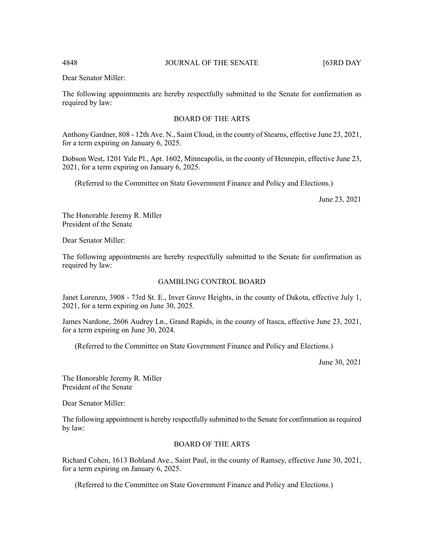The following appointments are hereby respectfully submitted to the Senate for confirmation as required by law:

# BOARD OF THE ARTS

Anthony Gardner, 808 - 12th Ave. N., Saint Cloud, in the county of Stearns, effective June 23, 2021, for a term expiring on January 6, 2025.

Dobson West, 1201 Yale Pl., Apt. 1602, Minneapolis, in the county of Hennepin, effective June 23, 2021, for a term expiring on January 6, 2025.

(Referred to the Committee on State Government Finance and Policy and Elections.)

June 23, 2021

The Honorable Jeremy R. Miller President of the Senate

Dear Senator Miller:

The following appointments are hereby respectfully submitted to the Senate for confirmation as required by law:

# GAMBLING CONTROL BOARD

Janet Lorenzo, 3908 - 73rd St. E., Inver Grove Heights, in the county of Dakota, effective July 1, 2021, for a term expiring on June 30, 2025.

James Nardone, 2606 Audrey Ln., Grand Rapids, in the county of Itasca, effective June 23, 2021, for a term expiring on June 30, 2024.

(Referred to the Committee on State Government Finance and Policy and Elections.)

June 30, 2021

The Honorable Jeremy R. Miller President of the Senate

Dear Senator Miller:

The following appointment is hereby respectfully submitted to the Senate for confirmation as required by law:

# BOARD OF THE ARTS

Richard Cohen, 1613 Bohland Ave., Saint Paul, in the county of Ramsey, effective June 30, 2021, for a term expiring on January 6, 2025.

(Referred to the Committee on State Government Finance and Policy and Elections.)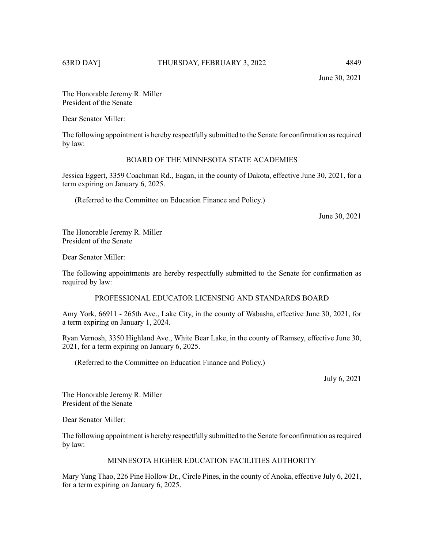June 30, 2021

The Honorable Jeremy R. Miller President of the Senate

Dear Senator Miller:

The following appointment is hereby respectfully submitted to the Senate for confirmation asrequired by law:

# BOARD OF THE MINNESOTA STATE ACADEMIES

Jessica Eggert, 3359 Coachman Rd., Eagan, in the county of Dakota, effective June 30, 2021, for a term expiring on January 6, 2025.

(Referred to the Committee on Education Finance and Policy.)

June 30, 2021

The Honorable Jeremy R. Miller President of the Senate

Dear Senator Miller:

The following appointments are hereby respectfully submitted to the Senate for confirmation as required by law:

PROFESSIONAL EDUCATOR LICENSING AND STANDARDS BOARD

Amy York, 66911 - 265th Ave., Lake City, in the county of Wabasha, effective June 30, 2021, for a term expiring on January 1, 2024.

Ryan Vernosh, 3350 Highland Ave., White Bear Lake, in the county of Ramsey, effective June 30, 2021, for a term expiring on January 6, 2025.

(Referred to the Committee on Education Finance and Policy.)

July 6, 2021

The Honorable Jeremy R. Miller President of the Senate

Dear Senator Miller:

The following appointment is hereby respectfully submitted to the Senate for confirmation asrequired by law:

# MINNESOTA HIGHER EDUCATION FACILITIES AUTHORITY

Mary Yang Thao, 226 Pine Hollow Dr., Circle Pines, in the county of Anoka, effective July 6, 2021, for a term expiring on January 6, 2025.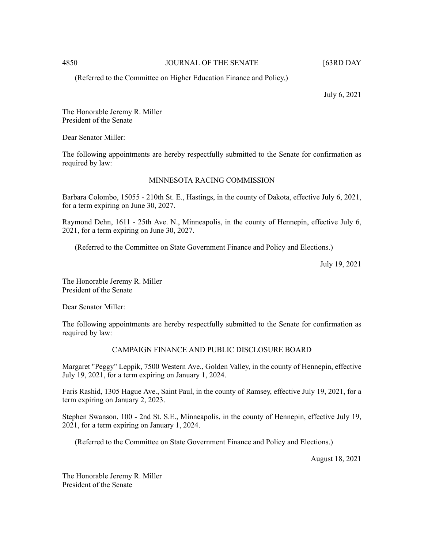# 4850 JOURNAL OF THE SENATE [63RD DAY

(Referred to the Committee on Higher Education Finance and Policy.)

July 6, 2021

The Honorable Jeremy R. Miller President of the Senate

Dear Senator Miller:

The following appointments are hereby respectfully submitted to the Senate for confirmation as required by law:

# MINNESOTA RACING COMMISSION

Barbara Colombo, 15055 - 210th St. E., Hastings, in the county of Dakota, effective July 6, 2021, for a term expiring on June 30, 2027.

Raymond Dehn, 1611 - 25th Ave. N., Minneapolis, in the county of Hennepin, effective July 6, 2021, for a term expiring on June 30, 2027.

(Referred to the Committee on State Government Finance and Policy and Elections.)

July 19, 2021

The Honorable Jeremy R. Miller President of the Senate

Dear Senator Miller:

The following appointments are hereby respectfully submitted to the Senate for confirmation as required by law:

# CAMPAIGN FINANCE AND PUBLIC DISCLOSURE BOARD

Margaret "Peggy" Leppik, 7500 Western Ave., Golden Valley, in the county of Hennepin, effective July 19, 2021, for a term expiring on January 1, 2024.

Faris Rashid, 1305 Hague Ave., Saint Paul, in the county of Ramsey, effective July 19, 2021, for a term expiring on January 2, 2023.

Stephen Swanson, 100 - 2nd St. S.E., Minneapolis, in the county of Hennepin, effective July 19, 2021, for a term expiring on January 1, 2024.

(Referred to the Committee on State Government Finance and Policy and Elections.)

August 18, 2021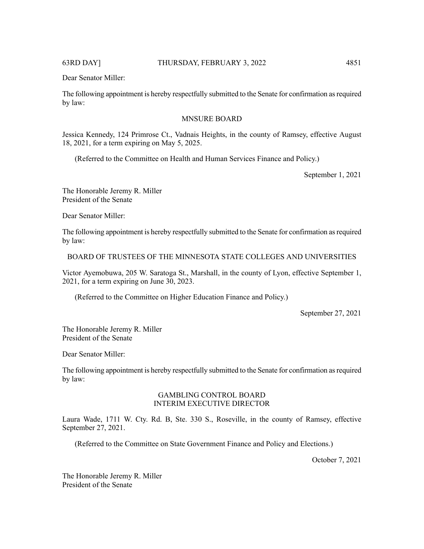The following appointment is hereby respectfully submitted to the Senate for confirmation asrequired by law:

# MNSURE BOARD

Jessica Kennedy, 124 Primrose Ct., Vadnais Heights, in the county of Ramsey, effective August 18, 2021, for a term expiring on May 5, 2025.

(Referred to the Committee on Health and Human Services Finance and Policy.)

September 1, 2021

The Honorable Jeremy R. Miller President of the Senate

Dear Senator Miller:

The following appointment is hereby respectfully submitted to the Senate for confirmation asrequired by law:

BOARD OF TRUSTEES OF THE MINNESOTA STATE COLLEGES AND UNIVERSITIES

Victor Ayemobuwa, 205 W. Saratoga St., Marshall, in the county of Lyon, effective September 1, 2021, for a term expiring on June 30, 2023.

(Referred to the Committee on Higher Education Finance and Policy.)

September 27, 2021

The Honorable Jeremy R. Miller President of the Senate

Dear Senator Miller:

The following appointment is hereby respectfully submitted to the Senate for confirmation asrequired by law:

### GAMBLING CONTROL BOARD INTERIM EXECUTIVE DIRECTOR

Laura Wade, 1711 W. Cty. Rd. B, Ste. 330 S., Roseville, in the county of Ramsey, effective September 27, 2021.

(Referred to the Committee on State Government Finance and Policy and Elections.)

October 7, 2021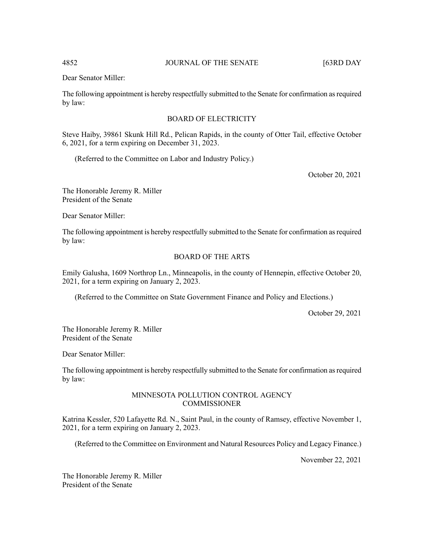The following appointment is hereby respectfully submitted to the Senate for confirmation asrequired by law:

# BOARD OF ELECTRICITY

Steve Haiby, 39861 Skunk Hill Rd., Pelican Rapids, in the county of Otter Tail, effective October 6, 2021, for a term expiring on December 31, 2023.

(Referred to the Committee on Labor and Industry Policy.)

October 20, 2021

The Honorable Jeremy R. Miller President of the Senate

Dear Senator Miller:

The following appointment is hereby respectfully submitted to the Senate for confirmation asrequired by law:

# BOARD OF THE ARTS

Emily Galusha, 1609 Northrop Ln., Minneapolis, in the county of Hennepin, effective October 20, 2021, for a term expiring on January 2, 2023.

(Referred to the Committee on State Government Finance and Policy and Elections.)

October 29, 2021

The Honorable Jeremy R. Miller President of the Senate

Dear Senator Miller:

The following appointment is hereby respectfully submitted to the Senate for confirmation asrequired by law:

### MINNESOTA POLLUTION CONTROL AGENCY **COMMISSIONER**

Katrina Kessler, 520 Lafayette Rd. N., Saint Paul, in the county of Ramsey, effective November 1, 2021, for a term expiring on January 2, 2023.

(Referred to the Committee on Environment and Natural Resources Policy and Legacy Finance.)

November 22, 2021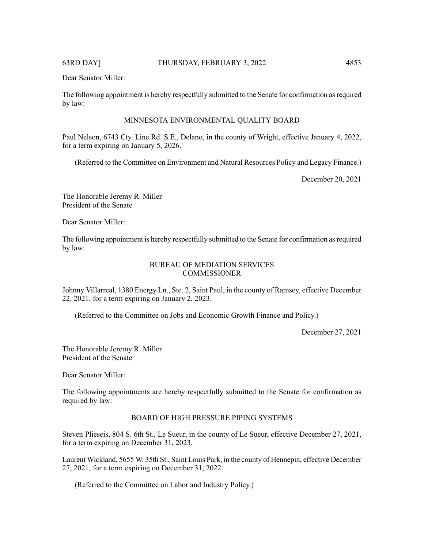The following appointment is hereby respectfully submitted to the Senate for confirmation asrequired by law:

# MINNESOTA ENVIRONMENTAL QUALITY BOARD

Paul Nelson, 6743 Cty. Line Rd. S.E., Delano, in the county of Wright, effective January 4, 2022, for a term expiring on January 5, 2026.

(Referred to the Committee on Environment and Natural Resources Policy and Legacy Finance.)

December 20, 2021

The Honorable Jeremy R. Miller President of the Senate

Dear Senator Miller:

The following appointment is hereby respectfully submitted to the Senate for confirmation asrequired by law:

# BUREAU OF MEDIATION SERVICES **COMMISSIONER**

Johnny Villarreal, 1380 Energy Ln., Ste. 2, Saint Paul, in the county of Ramsey, effective December 22, 2021, for a term expiring on January 2, 2023.

(Referred to the Committee on Jobs and Economic Growth Finance and Policy.)

December 27, 2021

The Honorable Jeremy R. Miller President of the Senate

Dear Senator Miller:

The following appointments are hereby respectfully submitted to the Senate for confirmation as required by law:

# BOARD OF HIGH PRESSURE PIPING SYSTEMS

Steven Plieseis, 804 S. 6th St., Le Sueur, in the county of Le Sueur, effective December 27, 2021, for a term expiring on December 31, 2023.

Laurent Wickland, 5655 W. 35th St., Saint Louis Park, in the county of Hennepin, effective December 27, 2021, for a term expiring on December 31, 2022.

(Referred to the Committee on Labor and Industry Policy.)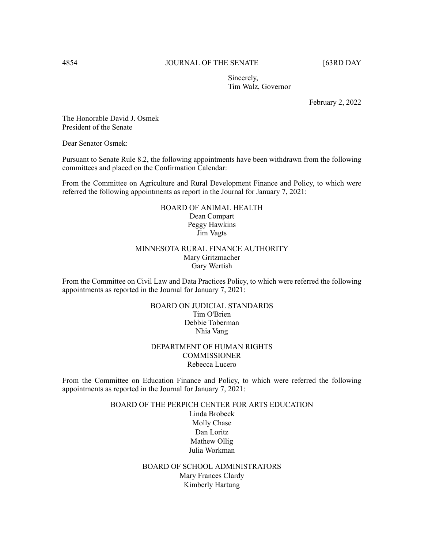# 4854 JOURNAL OF THE SENATE [63RD DAY

Sincerely, Tim Walz, Governor

February 2, 2022

The Honorable David J. Osmek President of the Senate

Dear Senator Osmek:

Pursuant to Senate Rule 8.2, the following appointments have been withdrawn from the following committees and placed on the Confirmation Calendar:

From the Committee on Agriculture and Rural Development Finance and Policy, to which were referred the following appointments as report in the Journal for January 7, 2021:

# BOARD OF ANIMAL HEALTH Dean Compart Peggy Hawkins Jim Vagts

# MINNESOTA RURAL FINANCE AUTHORITY Mary Gritzmacher Gary Wertish

From the Committee on Civil Law and Data Practices Policy, to which were referred the following appointments as reported in the Journal for January 7, 2021:

# BOARD ON JUDICIAL STANDARDS Tim O'Brien Debbie Toberman Nhia Vang

# DEPARTMENT OF HUMAN RIGHTS **COMMISSIONER** Rebecca Lucero

From the Committee on Education Finance and Policy, to which were referred the following appointments as reported in the Journal for January 7, 2021:

# BOARD OF THE PERPICH CENTER FOR ARTS EDUCATION

Linda Brobeck Molly Chase Dan Loritz Mathew Ollig Julia Workman

BOARD OF SCHOOL ADMINISTRATORS Mary Frances Clardy Kimberly Hartung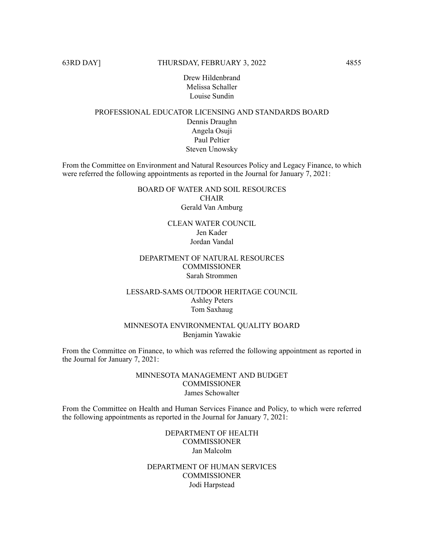Drew Hildenbrand Melissa Schaller Louise Sundin

# PROFESSIONAL EDUCATOR LICENSING AND STANDARDS BOARD Dennis Draughn Angela Osuji Paul Peltier Steven Unowsky

From the Committee on Environment and Natural Resources Policy and Legacy Finance, to which were referred the following appointments as reported in the Journal for January 7, 2021:

# BOARD OF WATER AND SOIL RESOURCES CHAIR Gerald Van Amburg

CLEAN WATER COUNCIL Jen Kader Jordan Vandal

# DEPARTMENT OF NATURAL RESOURCES COMMISSIONER Sarah Strommen

# LESSARD-SAMS OUTDOOR HERITAGE COUNCIL Ashley Peters Tom Saxhaug

# MINNESOTA ENVIRONMENTAL QUALITY BOARD Benjamin Yawakie

From the Committee on Finance, to which was referred the following appointment as reported in the Journal for January 7, 2021:

# MINNESOTA MANAGEMENT AND BUDGET **COMMISSIONER** James Schowalter

From the Committee on Health and Human Services Finance and Policy, to which were referred the following appointments as reported in the Journal for January 7, 2021:

> DEPARTMENT OF HEALTH **COMMISSIONER** Jan Malcolm

DEPARTMENT OF HUMAN SERVICES **COMMISSIONER** Jodi Harpstead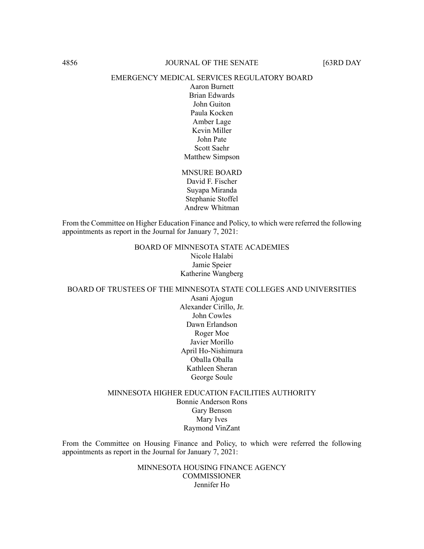#### EMERGENCY MEDICAL SERVICES REGULATORY BOARD

Aaron Burnett Brian Edwards John Guiton Paula Kocken Amber Lage Kevin Miller John Pate Scott Saehr Matthew Simpson

MNSURE BOARD David F. Fischer Suyapa Miranda Stephanie Stoffel Andrew Whitman

From the Committee on Higher Education Finance and Policy, to which were referred the following appointments as report in the Journal for January 7, 2021:

> BOARD OF MINNESOTA STATE ACADEMIES Nicole Halabi Jamie Speier Katherine Wangberg

BOARD OF TRUSTEES OF THE MINNESOTA STATE COLLEGES AND UNIVERSITIES Asani Ajogun

Alexander Cirillo, Jr. John Cowles Dawn Erlandson Roger Moe Javier Morillo April Ho-Nishimura Oballa Oballa Kathleen Sheran George Soule

# MINNESOTA HIGHER EDUCATION FACILITIES AUTHORITY Bonnie Anderson Rons Gary Benson Mary Ives Raymond VinZant

From the Committee on Housing Finance and Policy, to which were referred the following appointments as report in the Journal for January 7, 2021:

> MINNESOTA HOUSING FINANCE AGENCY **COMMISSIONER** Jennifer Ho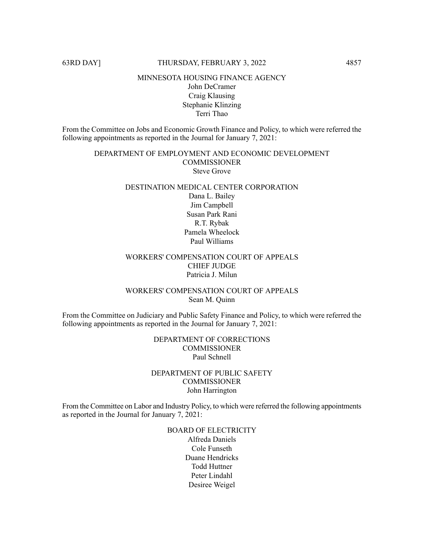#### MINNESOTA HOUSING FINANCE AGENCY

# John DeCramer Craig Klausing Stephanie Klinzing Terri Thao

From the Committee on Jobs and Economic Growth Finance and Policy, to which were referred the following appointments as reported in the Journal for January 7, 2021:

# DEPARTMENT OF EMPLOYMENT AND ECONOMIC DEVELOPMENT **COMMISSIONER** Steve Grove

# DESTINATION MEDICAL CENTER CORPORATION Dana L. Bailey Jim Campbell Susan Park Rani R.T. Rybak Pamela Wheelock Paul Williams

# WORKERS' COMPENSATION COURT OF APPEALS CHIEF JUDGE Patricia J. Milun

# WORKERS' COMPENSATION COURT OF APPEALS Sean M. Quinn

From the Committee on Judiciary and Public Safety Finance and Policy, to which were referred the following appointments as reported in the Journal for January 7, 2021:

# DEPARTMENT OF CORRECTIONS **COMMISSIONER** Paul Schnell

# DEPARTMENT OF PUBLIC SAFETY **COMMISSIONER** John Harrington

From the Committee on Labor and Industry Policy, to which were referred the following appointments as reported in the Journal for January 7, 2021:

# BOARD OF ELECTRICITY Alfreda Daniels Cole Funseth

Duane Hendricks Todd Huttner Peter Lindahl Desiree Weigel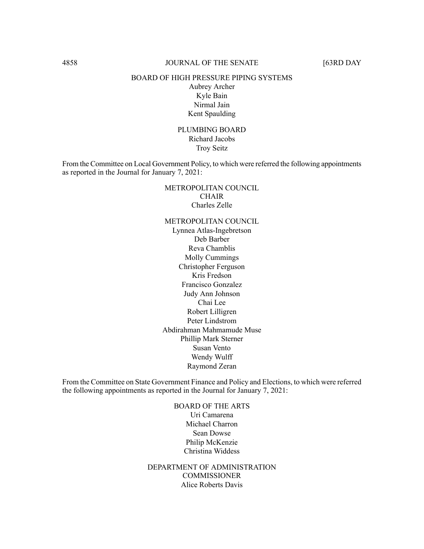# 4858 JOURNAL OF THE SENATE [63RD DAY

#### BOARD OF HIGH PRESSURE PIPING SYSTEMS

Aubrey Archer Kyle Bain Nirmal Jain Kent Spaulding

PLUMBING BOARD Richard Jacobs Troy Seitz

From the Committee on Local Government Policy, to which were referred the following appointments as reported in the Journal for January 7, 2021:

# METROPOLITAN COUNCIL CHAIR Charles Zelle

METROPOLITAN COUNCIL Lynnea Atlas-Ingebretson Deb Barber Reva Chamblis Molly Cummings Christopher Ferguson Kris Fredson Francisco Gonzalez Judy Ann Johnson Chai Lee Robert Lilligren Peter Lindstrom Abdirahman Mahmamude Muse Phillip Mark Sterner Susan Vento Wendy Wulff Raymond Zeran

From the Committee on State Government Finance and Policy and Elections, to which were referred the following appointments as reported in the Journal for January 7, 2021:

> BOARD OF THE ARTS Uri Camarena Michael Charron Sean Dowse Philip McKenzie Christina Widdess

DEPARTMENT OF ADMINISTRATION **COMMISSIONER** Alice Roberts Davis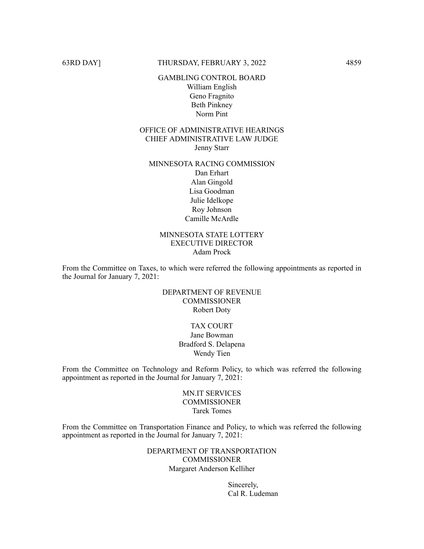# GAMBLING CONTROL BOARD William English Geno Fragnito Beth Pinkney Norm Pint

# OFFICE OF ADMINISTRATIVE HEARINGS CHIEF ADMINISTRATIVE LAW JUDGE Jenny Starr

# MINNESOTA RACING COMMISSION Dan Erhart Alan Gingold Lisa Goodman Julie Idelkope Roy Johnson Camille McArdle

# MINNESOTA STATE LOTTERY EXECUTIVE DIRECTOR Adam Prock

From the Committee on Taxes, to which were referred the following appointments as reported in the Journal for January 7, 2021:

# DEPARTMENT OF REVENUE COMMISSIONER Robert Doty

# TAX COURT

Jane Bowman Bradford S. Delapena Wendy Tien

From the Committee on Technology and Reform Policy, to which was referred the following appointment as reported in the Journal for January 7, 2021:

> MN.IT SERVICES **COMMISSIONER** Tarek Tomes

From the Committee on Transportation Finance and Policy, to which was referred the following appointment as reported in the Journal for January 7, 2021:

> DEPARTMENT OF TRANSPORTATION **COMMISSIONER** Margaret Anderson Kelliher

> > Sincerely, Cal R. Ludeman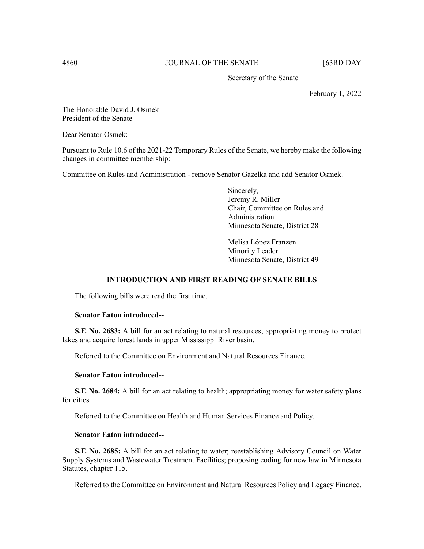# 4860 JOURNAL OF THE SENATE [63RD DAY

Secretary of the Senate

February 1, 2022

The Honorable David J. Osmek President of the Senate

Dear Senator Osmek:

Pursuant to Rule 10.6 of the 2021-22 Temporary Rules of the Senate, we hereby make the following changes in committee membership:

Committee on Rules and Administration - remove Senator Gazelka and add Senator Osmek.

Sincerely, Jeremy R. Miller Chair, Committee on Rules and Administration Minnesota Senate, District 28

Melisa López Franzen Minority Leader Minnesota Senate, District 49

# **INTRODUCTION AND FIRST READING OF SENATE BILLS**

The following bills were read the first time.

#### **Senator Eaton introduced--**

**S.F. No. 2683:** A bill for an act relating to natural resources; appropriating money to protect lakes and acquire forest lands in upper Mississippi River basin.

Referred to the Committee on Environment and Natural Resources Finance.

#### **Senator Eaton introduced--**

**S.F. No. 2684:** A bill for an act relating to health; appropriating money for water safety plans for cities.

Referred to the Committee on Health and Human Services Finance and Policy.

# **Senator Eaton introduced--**

**S.F. No. 2685:** A bill for an act relating to water; reestablishing Advisory Council on Water Supply Systems and Wastewater Treatment Facilities; proposing coding for new law in Minnesota Statutes, chapter 115.

Referred to the Committee on Environment and Natural Resources Policy and Legacy Finance.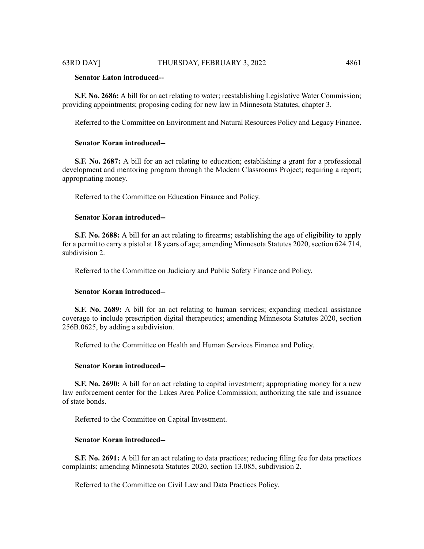# **Senator Eaton introduced--**

**S.F. No. 2686:** A bill for an act relating to water; reestablishing Legislative Water Commission; providing appointments; proposing coding for new law in Minnesota Statutes, chapter 3.

Referred to the Committee on Environment and Natural Resources Policy and Legacy Finance.

#### **Senator Koran introduced--**

**S.F. No. 2687:** A bill for an act relating to education; establishing a grant for a professional development and mentoring program through the Modern Classrooms Project; requiring a report; appropriating money.

Referred to the Committee on Education Finance and Policy.

## **Senator Koran introduced--**

**S.F. No. 2688:** A bill for an act relating to firearms; establishing the age of eligibility to apply for a permit to carry a pistol at 18 years of age; amending Minnesota Statutes 2020, section 624.714, subdivision 2.

Referred to the Committee on Judiciary and Public Safety Finance and Policy.

#### **Senator Koran introduced--**

**S.F. No. 2689:** A bill for an act relating to human services; expanding medical assistance coverage to include prescription digital therapeutics; amending Minnesota Statutes 2020, section 256B.0625, by adding a subdivision.

Referred to the Committee on Health and Human Services Finance and Policy.

# **Senator Koran introduced--**

**S.F. No. 2690:** A bill for an act relating to capital investment; appropriating money for a new law enforcement center for the Lakes Area Police Commission; authorizing the sale and issuance of state bonds.

Referred to the Committee on Capital Investment.

# **Senator Koran introduced--**

**S.F. No. 2691:** A bill for an act relating to data practices; reducing filing fee for data practices complaints; amending Minnesota Statutes 2020, section 13.085, subdivision 2.

Referred to the Committee on Civil Law and Data Practices Policy.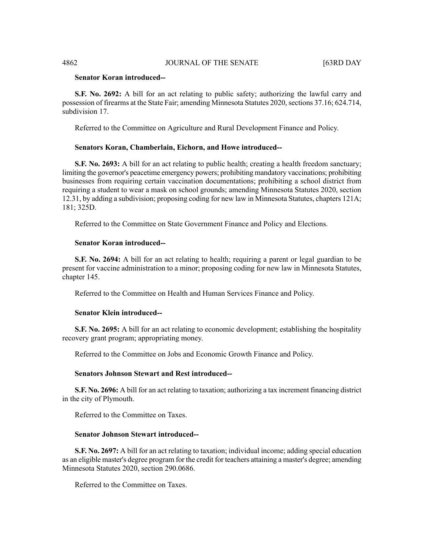# **Senator Koran introduced--**

**S.F. No. 2692:** A bill for an act relating to public safety; authorizing the lawful carry and possession of firearms at the State Fair; amending Minnesota Statutes 2020, sections 37.16; 624.714, subdivision 17.

Referred to the Committee on Agriculture and Rural Development Finance and Policy.

#### **Senators Koran, Chamberlain, Eichorn, and Howe introduced--**

**S.F. No. 2693:** A bill for an act relating to public health; creating a health freedom sanctuary; limiting the governor's peacetime emergency powers; prohibiting mandatory vaccinations; prohibiting businesses from requiring certain vaccination documentations; prohibiting a school district from requiring a student to wear a mask on school grounds; amending Minnesota Statutes 2020, section 12.31, by adding a subdivision; proposing coding for new law in Minnesota Statutes, chapters 121A; 181; 325D.

Referred to the Committee on State Government Finance and Policy and Elections.

#### **Senator Koran introduced--**

**S.F. No. 2694:** A bill for an act relating to health; requiring a parent or legal guardian to be present for vaccine administration to a minor; proposing coding for new law in Minnesota Statutes, chapter 145.

Referred to the Committee on Health and Human Services Finance and Policy.

# **Senator Klein introduced--**

**S.F. No. 2695:** A bill for an act relating to economic development; establishing the hospitality recovery grant program; appropriating money.

Referred to the Committee on Jobs and Economic Growth Finance and Policy.

# **Senators Johnson Stewart and Rest introduced--**

**S.F. No. 2696:** A bill for an act relating to taxation; authorizing a tax increment financing district in the city of Plymouth.

Referred to the Committee on Taxes.

# **Senator Johnson Stewart introduced--**

**S.F. No. 2697:** A bill for an act relating to taxation; individual income; adding special education as an eligible master's degree program for the credit for teachers attaining a master's degree; amending Minnesota Statutes 2020, section 290.0686.

Referred to the Committee on Taxes.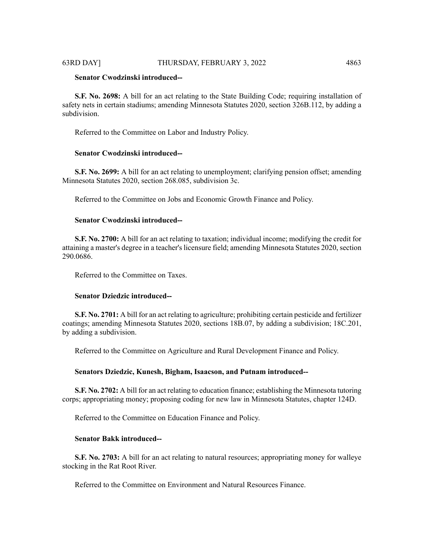# **Senator Cwodzinski introduced--**

**S.F. No. 2698:** A bill for an act relating to the State Building Code; requiring installation of safety nets in certain stadiums; amending Minnesota Statutes 2020, section 326B.112, by adding a subdivision.

Referred to the Committee on Labor and Industry Policy.

# **Senator Cwodzinski introduced--**

**S.F. No. 2699:** A bill for an act relating to unemployment; clarifying pension offset; amending Minnesota Statutes 2020, section 268.085, subdivision 3c.

Referred to the Committee on Jobs and Economic Growth Finance and Policy.

#### **Senator Cwodzinski introduced--**

**S.F. No. 2700:** A bill for an act relating to taxation; individual income; modifying the credit for attaining a master's degree in a teacher's licensure field; amending Minnesota Statutes 2020, section 290.0686.

Referred to the Committee on Taxes.

# **Senator Dziedzic introduced--**

**S.F. No. 2701:** A bill for an act relating to agriculture; prohibiting certain pesticide and fertilizer coatings; amending Minnesota Statutes 2020, sections 18B.07, by adding a subdivision; 18C.201, by adding a subdivision.

Referred to the Committee on Agriculture and Rural Development Finance and Policy.

# **Senators Dziedzic, Kunesh, Bigham, Isaacson, and Putnam introduced--**

**S.F. No. 2702:** A bill for an act relating to education finance; establishing the Minnesota tutoring corps; appropriating money; proposing coding for new law in Minnesota Statutes, chapter 124D.

Referred to the Committee on Education Finance and Policy.

# **Senator Bakk introduced--**

**S.F. No. 2703:** A bill for an act relating to natural resources; appropriating money for walleye stocking in the Rat Root River.

Referred to the Committee on Environment and Natural Resources Finance.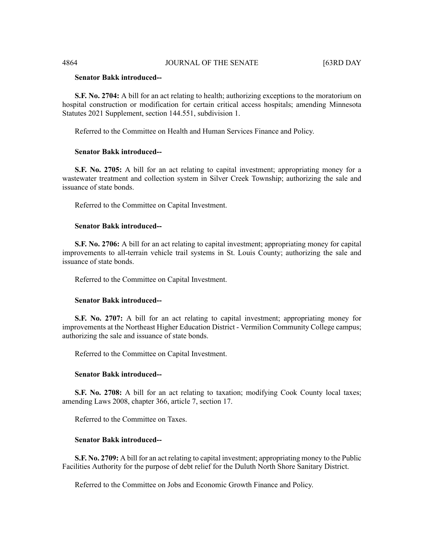### **Senator Bakk introduced--**

**S.F. No. 2704:** A bill for an act relating to health; authorizing exceptions to the moratorium on hospital construction or modification for certain critical access hospitals; amending Minnesota Statutes 2021 Supplement, section 144.551, subdivision 1.

Referred to the Committee on Health and Human Services Finance and Policy.

#### **Senator Bakk introduced--**

**S.F. No. 2705:** A bill for an act relating to capital investment; appropriating money for a wastewater treatment and collection system in Silver Creek Township; authorizing the sale and issuance of state bonds.

Referred to the Committee on Capital Investment.

# **Senator Bakk introduced--**

**S.F. No. 2706:** A bill for an act relating to capital investment; appropriating money for capital improvements to all-terrain vehicle trail systems in St. Louis County; authorizing the sale and issuance of state bonds.

Referred to the Committee on Capital Investment.

#### **Senator Bakk introduced--**

**S.F. No. 2707:** A bill for an act relating to capital investment; appropriating money for improvements at the Northeast Higher Education District - Vermilion Community College campus; authorizing the sale and issuance of state bonds.

Referred to the Committee on Capital Investment.

#### **Senator Bakk introduced--**

**S.F. No. 2708:** A bill for an act relating to taxation; modifying Cook County local taxes; amending Laws 2008, chapter 366, article 7, section 17.

Referred to the Committee on Taxes.

# **Senator Bakk introduced--**

**S.F. No. 2709:** A bill for an act relating to capital investment; appropriating money to the Public Facilities Authority for the purpose of debt relief for the Duluth North Shore Sanitary District.

Referred to the Committee on Jobs and Economic Growth Finance and Policy.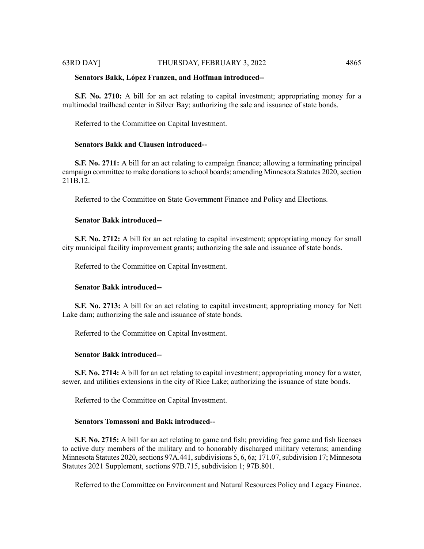# **Senators Bakk, López Franzen, and Hoffman introduced--**

**S.F. No. 2710:** A bill for an act relating to capital investment; appropriating money for a multimodal trailhead center in Silver Bay; authorizing the sale and issuance of state bonds.

Referred to the Committee on Capital Investment.

#### **Senators Bakk and Clausen introduced--**

**S.F. No. 2711:** A bill for an act relating to campaign finance; allowing a terminating principal campaign committee to make donations to school boards; amending Minnesota Statutes 2020, section 211B.12.

Referred to the Committee on State Government Finance and Policy and Elections.

#### **Senator Bakk introduced--**

**S.F. No. 2712:** A bill for an act relating to capital investment; appropriating money for small city municipal facility improvement grants; authorizing the sale and issuance of state bonds.

Referred to the Committee on Capital Investment.

#### **Senator Bakk introduced--**

**S.F. No. 2713:** A bill for an act relating to capital investment; appropriating money for Nett Lake dam; authorizing the sale and issuance of state bonds.

Referred to the Committee on Capital Investment.

# **Senator Bakk introduced--**

**S.F. No. 2714:** A bill for an act relating to capital investment; appropriating money for a water, sewer, and utilities extensions in the city of Rice Lake; authorizing the issuance of state bonds.

Referred to the Committee on Capital Investment.

#### **Senators Tomassoni and Bakk introduced--**

**S.F. No. 2715:** A bill for an act relating to game and fish; providing free game and fish licenses to active duty members of the military and to honorably discharged military veterans; amending Minnesota Statutes 2020, sections 97A.441, subdivisions 5, 6, 6a; 171.07, subdivision 17; Minnesota Statutes 2021 Supplement, sections 97B.715, subdivision 1; 97B.801.

Referred to the Committee on Environment and Natural Resources Policy and Legacy Finance.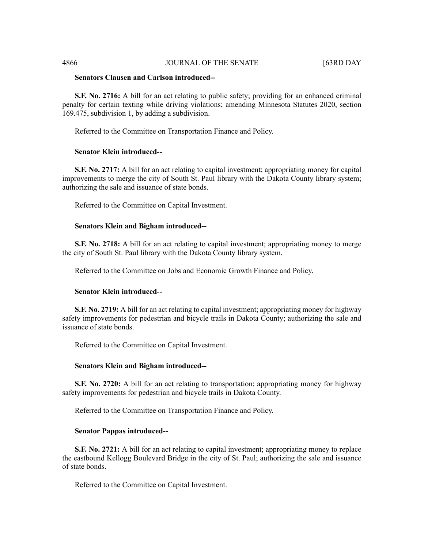# **Senators Clausen and Carlson introduced--**

**S.F. No. 2716:** A bill for an act relating to public safety; providing for an enhanced criminal penalty for certain texting while driving violations; amending Minnesota Statutes 2020, section 169.475, subdivision 1, by adding a subdivision.

Referred to the Committee on Transportation Finance and Policy.

# **Senator Klein introduced--**

**S.F. No. 2717:** A bill for an act relating to capital investment; appropriating money for capital improvements to merge the city of South St. Paul library with the Dakota County library system; authorizing the sale and issuance of state bonds.

Referred to the Committee on Capital Investment.

#### **Senators Klein and Bigham introduced--**

**S.F. No. 2718:** A bill for an act relating to capital investment; appropriating money to merge the city of South St. Paul library with the Dakota County library system.

Referred to the Committee on Jobs and Economic Growth Finance and Policy.

#### **Senator Klein introduced--**

**S.F. No. 2719:** A bill for an act relating to capital investment; appropriating money for highway safety improvements for pedestrian and bicycle trails in Dakota County; authorizing the sale and issuance of state bonds.

Referred to the Committee on Capital Investment.

#### **Senators Klein and Bigham introduced--**

**S.F. No. 2720:** A bill for an act relating to transportation; appropriating money for highway safety improvements for pedestrian and bicycle trails in Dakota County.

Referred to the Committee on Transportation Finance and Policy.

#### **Senator Pappas introduced--**

**S.F. No. 2721:** A bill for an act relating to capital investment; appropriating money to replace the eastbound Kellogg Boulevard Bridge in the city of St. Paul; authorizing the sale and issuance of state bonds.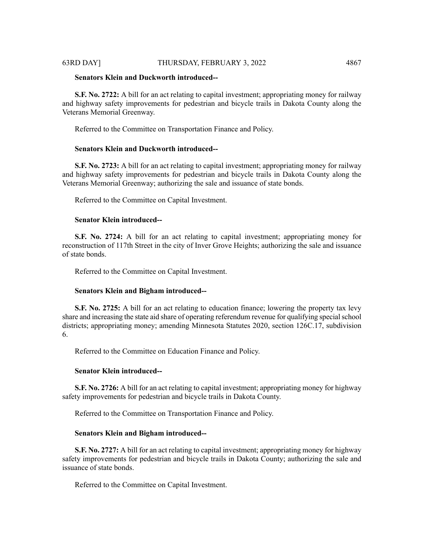### **Senators Klein and Duckworth introduced--**

**S.F. No. 2722:** A bill for an act relating to capital investment; appropriating money for railway and highway safety improvements for pedestrian and bicycle trails in Dakota County along the Veterans Memorial Greenway.

Referred to the Committee on Transportation Finance and Policy.

# **Senators Klein and Duckworth introduced--**

**S.F. No. 2723:** A bill for an act relating to capital investment; appropriating money for railway and highway safety improvements for pedestrian and bicycle trails in Dakota County along the Veterans Memorial Greenway; authorizing the sale and issuance of state bonds.

Referred to the Committee on Capital Investment.

#### **Senator Klein introduced--**

**S.F. No. 2724:** A bill for an act relating to capital investment; appropriating money for reconstruction of 117th Street in the city of Inver Grove Heights; authorizing the sale and issuance of state bonds.

Referred to the Committee on Capital Investment.

#### **Senators Klein and Bigham introduced--**

**S.F. No. 2725:** A bill for an act relating to education finance; lowering the property tax levy share and increasing the state aid share of operating referendum revenue for qualifying special school districts; appropriating money; amending Minnesota Statutes 2020, section 126C.17, subdivision 6.

Referred to the Committee on Education Finance and Policy.

# **Senator Klein introduced--**

**S.F. No. 2726:** A bill for an act relating to capital investment; appropriating money for highway safety improvements for pedestrian and bicycle trails in Dakota County.

Referred to the Committee on Transportation Finance and Policy.

#### **Senators Klein and Bigham introduced--**

**S.F. No. 2727:** A bill for an act relating to capital investment; appropriating money for highway safety improvements for pedestrian and bicycle trails in Dakota County; authorizing the sale and issuance of state bonds.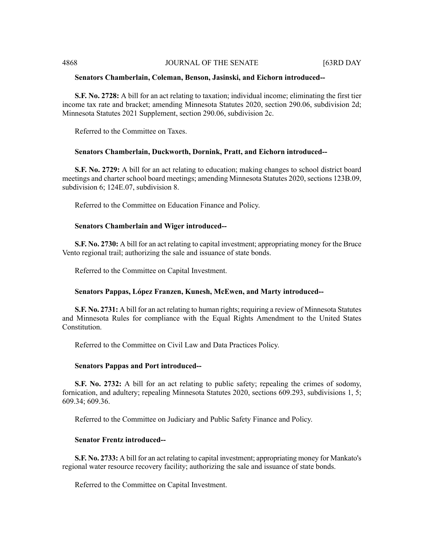#### 4868 JOURNAL OF THE SENATE [63RD DAY

#### **Senators Chamberlain, Coleman, Benson, Jasinski, and Eichorn introduced--**

**S.F. No. 2728:** A bill for an act relating to taxation; individual income; eliminating the first tier income tax rate and bracket; amending Minnesota Statutes 2020, section 290.06, subdivision 2d; Minnesota Statutes 2021 Supplement, section 290.06, subdivision 2c.

Referred to the Committee on Taxes.

### **Senators Chamberlain, Duckworth, Dornink, Pratt, and Eichorn introduced--**

**S.F. No. 2729:** A bill for an act relating to education; making changes to school district board meetings and charter school board meetings; amending Minnesota Statutes 2020, sections 123B.09, subdivision 6; 124E.07, subdivision 8.

Referred to the Committee on Education Finance and Policy.

#### **Senators Chamberlain and Wiger introduced--**

**S.F. No. 2730:** A bill for an act relating to capital investment; appropriating money for the Bruce Vento regional trail; authorizing the sale and issuance of state bonds.

Referred to the Committee on Capital Investment.

# **Senators Pappas, López Franzen, Kunesh, McEwen, and Marty introduced--**

**S.F. No. 2731:** A bill for an act relating to human rights; requiring a review of Minnesota Statutes and Minnesota Rules for compliance with the Equal Rights Amendment to the United States Constitution.

Referred to the Committee on Civil Law and Data Practices Policy.

#### **Senators Pappas and Port introduced--**

**S.F. No. 2732:** A bill for an act relating to public safety; repealing the crimes of sodomy, fornication, and adultery; repealing Minnesota Statutes 2020, sections 609.293, subdivisions 1, 5; 609.34; 609.36.

Referred to the Committee on Judiciary and Public Safety Finance and Policy.

# **Senator Frentz introduced--**

**S.F. No. 2733:** A bill for an act relating to capital investment; appropriating money for Mankato's regional water resource recovery facility; authorizing the sale and issuance of state bonds.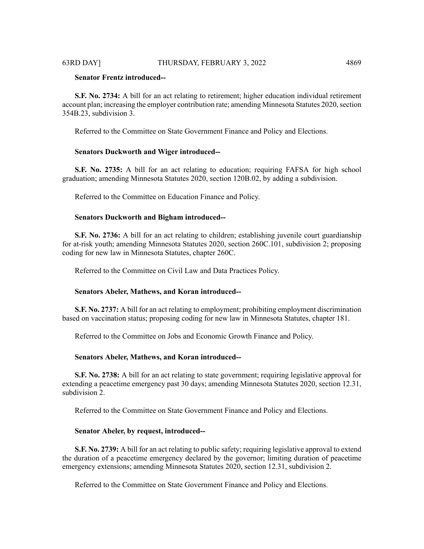# **Senator Frentz introduced--**

**S.F. No. 2734:** A bill for an act relating to retirement; higher education individual retirement account plan; increasing the employer contribution rate; amending Minnesota Statutes 2020, section 354B.23, subdivision 3.

Referred to the Committee on State Government Finance and Policy and Elections.

#### **Senators Duckworth and Wiger introduced--**

**S.F. No. 2735:** A bill for an act relating to education; requiring FAFSA for high school graduation; amending Minnesota Statutes 2020, section 120B.02, by adding a subdivision.

Referred to the Committee on Education Finance and Policy.

## **Senators Duckworth and Bigham introduced--**

**S.F. No. 2736:** A bill for an act relating to children; establishing juvenile court guardianship for at-risk youth; amending Minnesota Statutes 2020, section 260C.101, subdivision 2; proposing coding for new law in Minnesota Statutes, chapter 260C.

Referred to the Committee on Civil Law and Data Practices Policy.

#### **Senators Abeler, Mathews, and Koran introduced--**

**S.F. No. 2737:** A bill for an act relating to employment; prohibiting employment discrimination based on vaccination status; proposing coding for new law in Minnesota Statutes, chapter 181.

Referred to the Committee on Jobs and Economic Growth Finance and Policy.

#### **Senators Abeler, Mathews, and Koran introduced--**

**S.F. No. 2738:** A bill for an act relating to state government; requiring legislative approval for extending a peacetime emergency past 30 days; amending Minnesota Statutes 2020, section 12.31, subdivision 2.

Referred to the Committee on State Government Finance and Policy and Elections.

#### **Senator Abeler, by request, introduced--**

**S.F. No. 2739:** A bill for an act relating to public safety; requiring legislative approval to extend the duration of a peacetime emergency declared by the governor; limiting duration of peacetime emergency extensions; amending Minnesota Statutes 2020, section 12.31, subdivision 2.

Referred to the Committee on State Government Finance and Policy and Elections.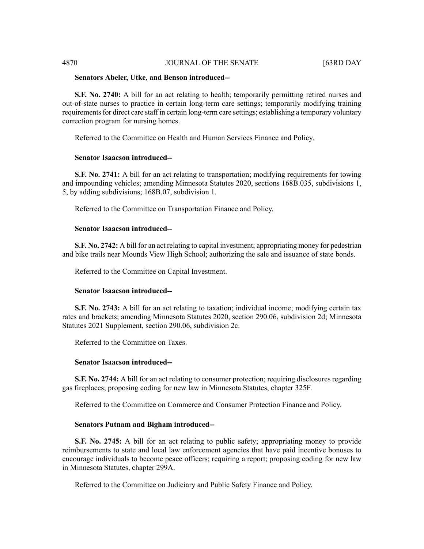# 4870 **JOURNAL OF THE SENATE** [63RD DAY

#### **Senators Abeler, Utke, and Benson introduced--**

**S.F. No. 2740:** A bill for an act relating to health; temporarily permitting retired nurses and out-of-state nurses to practice in certain long-term care settings; temporarily modifying training requirements for direct care staff in certain long-term care settings; establishing a temporary voluntary correction program for nursing homes.

Referred to the Committee on Health and Human Services Finance and Policy.

#### **Senator Isaacson introduced--**

**S.F.** No. 2741: A bill for an act relating to transportation; modifying requirements for towing and impounding vehicles; amending Minnesota Statutes 2020, sections 168B.035, subdivisions 1, 5, by adding subdivisions; 168B.07, subdivision 1.

Referred to the Committee on Transportation Finance and Policy.

#### **Senator Isaacson introduced--**

**S.F. No. 2742:** A bill for an act relating to capital investment; appropriating money for pedestrian and bike trails near Mounds View High School; authorizing the sale and issuance of state bonds.

Referred to the Committee on Capital Investment.

#### **Senator Isaacson introduced--**

**S.F. No. 2743:** A bill for an act relating to taxation; individual income; modifying certain tax rates and brackets; amending Minnesota Statutes 2020, section 290.06, subdivision 2d; Minnesota Statutes 2021 Supplement, section 290.06, subdivision 2c.

Referred to the Committee on Taxes.

# **Senator Isaacson introduced--**

**S.F. No. 2744:** A bill for an act relating to consumer protection; requiring disclosures regarding gas fireplaces; proposing coding for new law in Minnesota Statutes, chapter 325F.

Referred to the Committee on Commerce and Consumer Protection Finance and Policy.

#### **Senators Putnam and Bigham introduced--**

**S.F. No. 2745:** A bill for an act relating to public safety; appropriating money to provide reimbursements to state and local law enforcement agencies that have paid incentive bonuses to encourage individuals to become peace officers; requiring a report; proposing coding for new law in Minnesota Statutes, chapter 299A.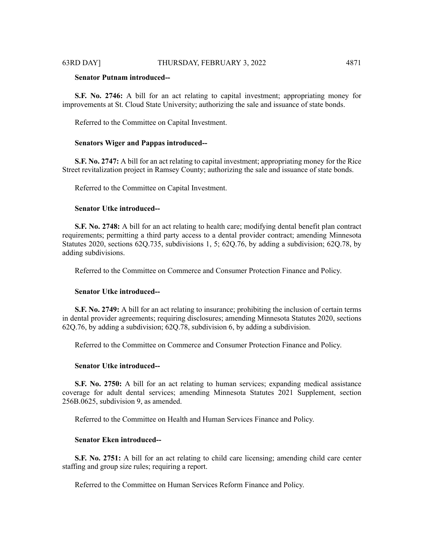# **Senator Putnam introduced--**

**S.F. No. 2746:** A bill for an act relating to capital investment; appropriating money for improvements at St. Cloud State University; authorizing the sale and issuance of state bonds.

Referred to the Committee on Capital Investment.

#### **Senators Wiger and Pappas introduced--**

**S.F. No. 2747:** A bill for an act relating to capital investment; appropriating money for the Rice Street revitalization project in Ramsey County; authorizing the sale and issuance of state bonds.

Referred to the Committee on Capital Investment.

#### **Senator Utke introduced--**

**S.F. No. 2748:** A bill for an act relating to health care; modifying dental benefit plan contract requirements; permitting a third party access to a dental provider contract; amending Minnesota Statutes 2020, sections 62Q.735, subdivisions 1, 5; 62Q.76, by adding a subdivision; 62Q.78, by adding subdivisions.

Referred to the Committee on Commerce and Consumer Protection Finance and Policy.

#### **Senator Utke introduced--**

**S.F. No. 2749:** A bill for an act relating to insurance; prohibiting the inclusion of certain terms in dental provider agreements; requiring disclosures; amending Minnesota Statutes 2020, sections 62Q.76, by adding a subdivision; 62Q.78, subdivision 6, by adding a subdivision.

Referred to the Committee on Commerce and Consumer Protection Finance and Policy.

#### **Senator Utke introduced--**

**S.F. No. 2750:** A bill for an act relating to human services; expanding medical assistance coverage for adult dental services; amending Minnesota Statutes 2021 Supplement, section 256B.0625, subdivision 9, as amended.

Referred to the Committee on Health and Human Services Finance and Policy.

# **Senator Eken introduced--**

**S.F. No. 2751:** A bill for an act relating to child care licensing; amending child care center staffing and group size rules; requiring a report.

Referred to the Committee on Human Services Reform Finance and Policy.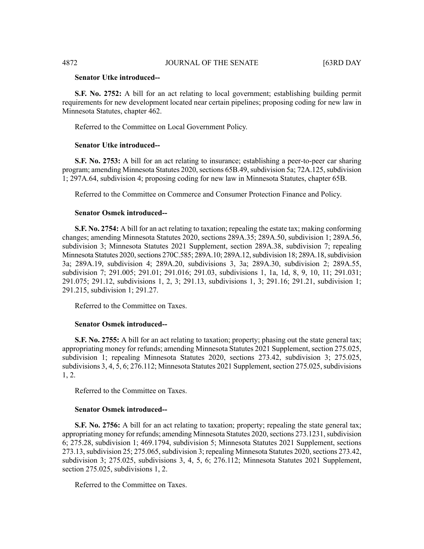#### **Senator Utke introduced--**

**S.F. No. 2752:** A bill for an act relating to local government; establishing building permit requirements for new development located near certain pipelines; proposing coding for new law in Minnesota Statutes, chapter 462.

Referred to the Committee on Local Government Policy.

#### **Senator Utke introduced--**

**S.F. No. 2753:** A bill for an act relating to insurance; establishing a peer-to-peer car sharing program; amending Minnesota Statutes 2020, sections 65B.49, subdivision 5a; 72A.125, subdivision 1; 297A.64, subdivision 4; proposing coding for new law in Minnesota Statutes, chapter 65B.

Referred to the Committee on Commerce and Consumer Protection Finance and Policy.

#### **Senator Osmek introduced--**

**S.F. No. 2754:** A bill for an act relating to taxation; repealing the estate tax; making conforming changes; amending Minnesota Statutes 2020, sections 289A.35; 289A.50, subdivision 1; 289A.56, subdivision 3; Minnesota Statutes 2021 Supplement, section 289A.38, subdivision 7; repealing Minnesota Statutes 2020, sections 270C.585; 289A.10; 289A.12, subdivision 18; 289A.18, subdivision 3a; 289A.19, subdivision 4; 289A.20, subdivisions 3, 3a; 289A.30, subdivision 2; 289A.55, subdivision 7; 291.005; 291.01; 291.016; 291.03, subdivisions 1, 1a, 1d, 8, 9, 10, 11; 291.031; 291.075; 291.12, subdivisions 1, 2, 3; 291.13, subdivisions 1, 3; 291.16; 291.21, subdivision 1; 291.215, subdivision 1; 291.27.

Referred to the Committee on Taxes.

# **Senator Osmek introduced--**

**S.F. No. 2755:** A bill for an act relating to taxation; property; phasing out the state general tax; appropriating money for refunds; amending Minnesota Statutes 2021 Supplement, section 275.025, subdivision 1; repealing Minnesota Statutes 2020, sections 273.42, subdivision 3; 275.025, subdivisions 3, 4, 5, 6; 276.112; Minnesota Statutes 2021 Supplement, section 275.025, subdivisions 1, 2.

Referred to the Committee on Taxes.

#### **Senator Osmek introduced--**

**S.F.** No. 2756: A bill for an act relating to taxation; property; repealing the state general tax; appropriating money for refunds; amending Minnesota Statutes 2020, sections 273.1231, subdivision 6; 275.28, subdivision 1; 469.1794, subdivision 5; Minnesota Statutes 2021 Supplement, sections 273.13, subdivision 25; 275.065, subdivision 3; repealing Minnesota Statutes 2020, sections 273.42, subdivision 3; 275.025, subdivisions 3, 4, 5, 6; 276.112; Minnesota Statutes 2021 Supplement, section 275.025, subdivisions 1, 2.

Referred to the Committee on Taxes.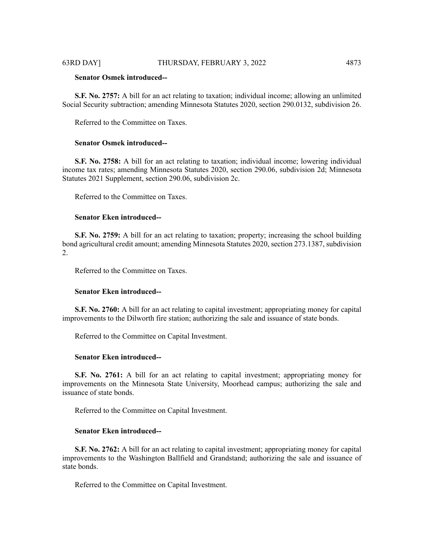# **Senator Osmek introduced--**

**S.F. No. 2757:** A bill for an act relating to taxation; individual income; allowing an unlimited Social Security subtraction; amending Minnesota Statutes 2020, section 290.0132, subdivision 26.

Referred to the Committee on Taxes.

#### **Senator Osmek introduced--**

**S.F. No. 2758:** A bill for an act relating to taxation; individual income; lowering individual income tax rates; amending Minnesota Statutes 2020, section 290.06, subdivision 2d; Minnesota Statutes 2021 Supplement, section 290.06, subdivision 2c.

Referred to the Committee on Taxes.

# **Senator Eken introduced--**

**S.F. No. 2759:** A bill for an act relating to taxation; property; increasing the school building bond agricultural credit amount; amending Minnesota Statutes 2020, section 273.1387, subdivision 2.

Referred to the Committee on Taxes.

#### **Senator Eken introduced--**

**S.F. No. 2760:** A bill for an act relating to capital investment; appropriating money for capital improvements to the Dilworth fire station; authorizing the sale and issuance of state bonds.

Referred to the Committee on Capital Investment.

#### **Senator Eken introduced--**

**S.F. No. 2761:** A bill for an act relating to capital investment; appropriating money for improvements on the Minnesota State University, Moorhead campus; authorizing the sale and issuance of state bonds.

Referred to the Committee on Capital Investment.

#### **Senator Eken introduced--**

**S.F. No. 2762:** A bill for an act relating to capital investment; appropriating money for capital improvements to the Washington Ballfield and Grandstand; authorizing the sale and issuance of state bonds.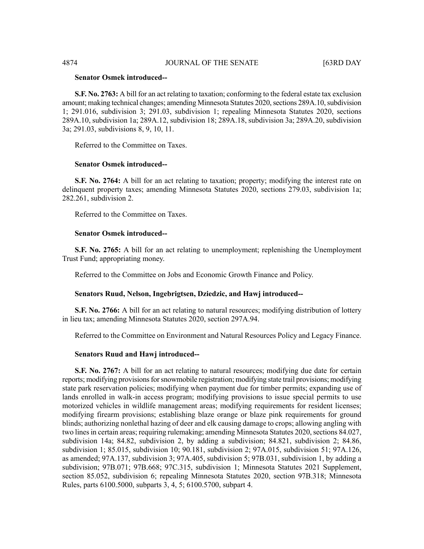### **Senator Osmek introduced--**

**S.F. No. 2763:** A bill for an act relating to taxation; conforming to the federal estate tax exclusion amount; making technical changes; amending Minnesota Statutes 2020, sections 289A.10, subdivision 1; 291.016, subdivision 3; 291.03, subdivision 1; repealing Minnesota Statutes 2020, sections 289A.10, subdivision 1a; 289A.12, subdivision 18; 289A.18, subdivision 3a; 289A.20, subdivision 3a; 291.03, subdivisions 8, 9, 10, 11.

Referred to the Committee on Taxes.

# **Senator Osmek introduced--**

**S.F. No. 2764:** A bill for an act relating to taxation; property; modifying the interest rate on delinquent property taxes; amending Minnesota Statutes 2020, sections 279.03, subdivision 1a; 282.261, subdivision 2.

Referred to the Committee on Taxes.

# **Senator Osmek introduced--**

**S.F. No. 2765:** A bill for an act relating to unemployment; replenishing the Unemployment Trust Fund; appropriating money.

Referred to the Committee on Jobs and Economic Growth Finance and Policy.

# **Senators Ruud, Nelson, Ingebrigtsen, Dziedzic, and Hawj introduced--**

**S.F. No. 2766:** A bill for an act relating to natural resources; modifying distribution of lottery in lieu tax; amending Minnesota Statutes 2020, section 297A.94.

Referred to the Committee on Environment and Natural Resources Policy and Legacy Finance.

# **Senators Ruud and Hawj introduced--**

**S.F. No. 2767:** A bill for an act relating to natural resources; modifying due date for certain reports; modifying provisions for snowmobile registration; modifying state trail provisions; modifying state park reservation policies; modifying when payment due for timber permits; expanding use of lands enrolled in walk-in access program; modifying provisions to issue special permits to use motorized vehicles in wildlife management areas; modifying requirements for resident licenses; modifying firearm provisions; establishing blaze orange or blaze pink requirements for ground blinds; authorizing nonlethal hazing of deer and elk causing damage to crops; allowing angling with two lines in certain areas; requiring rulemaking; amending Minnesota Statutes 2020, sections 84.027, subdivision 14a; 84.82, subdivision 2, by adding a subdivision; 84.821, subdivision 2; 84.86, subdivision 1; 85.015, subdivision 10; 90.181, subdivision 2; 97A.015, subdivision 51; 97A.126, as amended; 97A.137, subdivision 3; 97A.405, subdivision 5; 97B.031, subdivision 1, by adding a subdivision; 97B.071; 97B.668; 97C.315, subdivision 1; Minnesota Statutes 2021 Supplement, section 85.052, subdivision 6; repealing Minnesota Statutes 2020, section 97B.318; Minnesota Rules, parts 6100.5000, subparts 3, 4, 5; 6100.5700, subpart 4.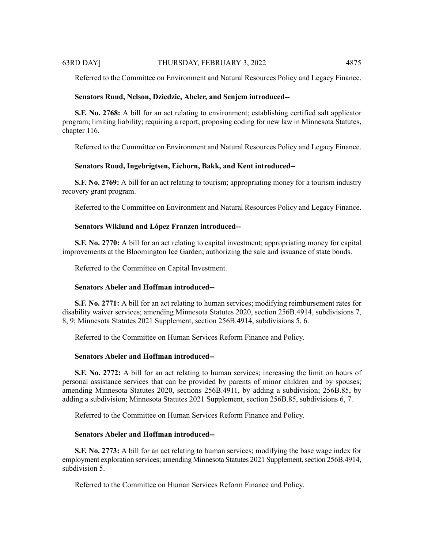Referred to the Committee on Environment and Natural Resources Policy and Legacy Finance.

# **Senators Ruud, Nelson, Dziedzic, Abeler, and Senjem introduced--**

**S.F. No. 2768:** A bill for an act relating to environment; establishing certified salt applicator program; limiting liability; requiring a report; proposing coding for new law in Minnesota Statutes, chapter 116.

Referred to the Committee on Environment and Natural Resources Policy and Legacy Finance.

#### **Senators Ruud, Ingebrigtsen, Eichorn, Bakk, and Kent introduced--**

**S.F. No. 2769:** A bill for an act relating to tourism; appropriating money for a tourism industry recovery grant program.

Referred to the Committee on Environment and Natural Resources Policy and Legacy Finance.

# **Senators Wiklund and López Franzen introduced--**

**S.F. No. 2770:** A bill for an act relating to capital investment; appropriating money for capital improvements at the Bloomington Ice Garden; authorizing the sale and issuance of state bonds.

Referred to the Committee on Capital Investment.

# **Senators Abeler and Hoffman introduced--**

**S.F. No. 2771:** A bill for an act relating to human services; modifying reimbursement rates for disability waiver services; amending Minnesota Statutes 2020, section 256B.4914, subdivisions 7, 8, 9; Minnesota Statutes 2021 Supplement, section 256B.4914, subdivisions 5, 6.

Referred to the Committee on Human Services Reform Finance and Policy.

# **Senators Abeler and Hoffman introduced--**

**S.F. No. 2772:** A bill for an act relating to human services; increasing the limit on hours of personal assistance services that can be provided by parents of minor children and by spouses; amending Minnesota Statutes 2020, sections 256B.4911, by adding a subdivision; 256B.85, by adding a subdivision; Minnesota Statutes 2021 Supplement, section 256B.85, subdivisions 6, 7.

Referred to the Committee on Human Services Reform Finance and Policy.

# **Senators Abeler and Hoffman introduced--**

**S.F. No. 2773:** A bill for an act relating to human services; modifying the base wage index for employment exploration services; amending Minnesota Statutes 2021 Supplement, section 256B.4914, subdivision 5.

Referred to the Committee on Human Services Reform Finance and Policy.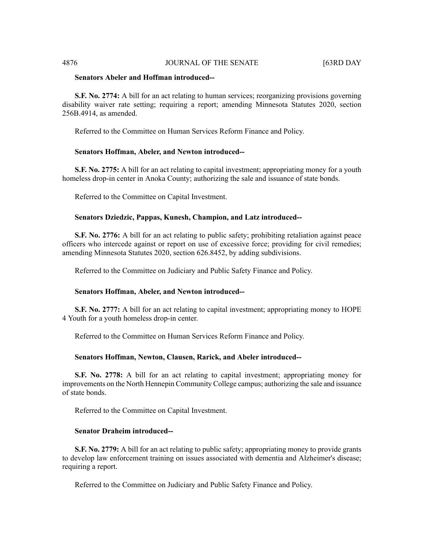#### 4876 **JOURNAL OF THE SENATE** [63RD DAY

# **Senators Abeler and Hoffman introduced--**

**S.F. No. 2774:** A bill for an act relating to human services; reorganizing provisions governing disability waiver rate setting; requiring a report; amending Minnesota Statutes 2020, section 256B.4914, as amended.

Referred to the Committee on Human Services Reform Finance and Policy.

#### **Senators Hoffman, Abeler, and Newton introduced--**

**S.F. No. 2775:** A bill for an act relating to capital investment; appropriating money for a youth homeless drop-in center in Anoka County; authorizing the sale and issuance of state bonds.

Referred to the Committee on Capital Investment.

## **Senators Dziedzic, Pappas, Kunesh, Champion, and Latz introduced--**

**S.F. No. 2776:** A bill for an act relating to public safety; prohibiting retaliation against peace officers who intercede against or report on use of excessive force; providing for civil remedies; amending Minnesota Statutes 2020, section 626.8452, by adding subdivisions.

Referred to the Committee on Judiciary and Public Safety Finance and Policy.

#### **Senators Hoffman, Abeler, and Newton introduced--**

**S.F. No. 2777:** A bill for an act relating to capital investment; appropriating money to HOPE 4 Youth for a youth homeless drop-in center.

Referred to the Committee on Human Services Reform Finance and Policy.

#### **Senators Hoffman, Newton, Clausen, Rarick, and Abeler introduced--**

**S.F. No. 2778:** A bill for an act relating to capital investment; appropriating money for improvements on the North Hennepin Community College campus; authorizing the sale and issuance of state bonds.

Referred to the Committee on Capital Investment.

# **Senator Draheim introduced--**

**S.F. No. 2779:** A bill for an act relating to public safety; appropriating money to provide grants to develop law enforcement training on issues associated with dementia and Alzheimer's disease; requiring a report.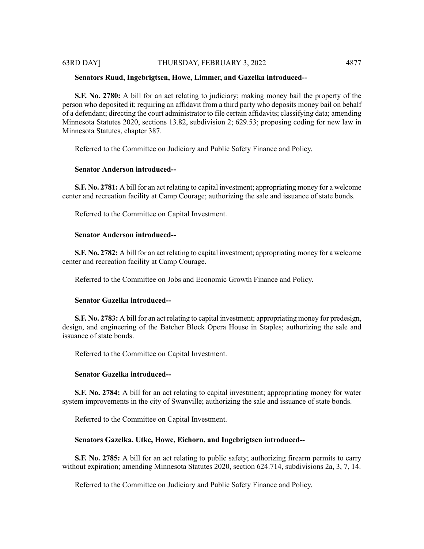#### **Senators Ruud, Ingebrigtsen, Howe, Limmer, and Gazelka introduced--**

**S.F. No. 2780:** A bill for an act relating to judiciary; making money bail the property of the person who deposited it; requiring an affidavit from a third party who deposits money bail on behalf of a defendant; directing the court administrator to file certain affidavits; classifying data; amending Minnesota Statutes 2020, sections 13.82, subdivision 2; 629.53; proposing coding for new law in Minnesota Statutes, chapter 387.

Referred to the Committee on Judiciary and Public Safety Finance and Policy.

# **Senator Anderson introduced--**

**S.F. No. 2781:** A bill for an act relating to capital investment; appropriating money for a welcome center and recreation facility at Camp Courage; authorizing the sale and issuance of state bonds.

Referred to the Committee on Capital Investment.

#### **Senator Anderson introduced--**

**S.F. No. 2782:** A bill for an act relating to capital investment; appropriating money for a welcome center and recreation facility at Camp Courage.

Referred to the Committee on Jobs and Economic Growth Finance and Policy.

#### **Senator Gazelka introduced--**

**S.F. No. 2783:** A bill for an act relating to capital investment; appropriating money for predesign, design, and engineering of the Batcher Block Opera House in Staples; authorizing the sale and issuance of state bonds.

Referred to the Committee on Capital Investment.

#### **Senator Gazelka introduced--**

**S.F. No. 2784:** A bill for an act relating to capital investment; appropriating money for water system improvements in the city of Swanville; authorizing the sale and issuance of state bonds.

Referred to the Committee on Capital Investment.

#### **Senators Gazelka, Utke, Howe, Eichorn, and Ingebrigtsen introduced--**

**S.F. No. 2785:** A bill for an act relating to public safety; authorizing firearm permits to carry without expiration; amending Minnesota Statutes 2020, section 624.714, subdivisions 2a, 3, 7, 14.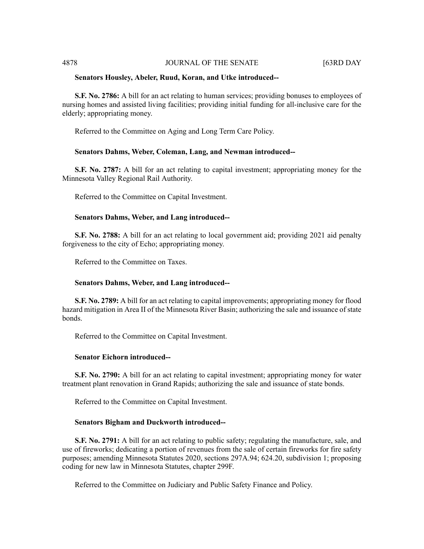# 4878 JOURNAL OF THE SENATE [63RD DAY

#### **Senators Housley, Abeler, Ruud, Koran, and Utke introduced--**

**S.F. No. 2786:** A bill for an act relating to human services; providing bonuses to employees of nursing homes and assisted living facilities; providing initial funding for all-inclusive care for the elderly; appropriating money.

Referred to the Committee on Aging and Long Term Care Policy.

#### **Senators Dahms, Weber, Coleman, Lang, and Newman introduced--**

**S.F. No. 2787:** A bill for an act relating to capital investment; appropriating money for the Minnesota Valley Regional Rail Authority.

Referred to the Committee on Capital Investment.

#### **Senators Dahms, Weber, and Lang introduced--**

**S.F. No. 2788:** A bill for an act relating to local government aid; providing 2021 aid penalty forgiveness to the city of Echo; appropriating money.

Referred to the Committee on Taxes.

#### **Senators Dahms, Weber, and Lang introduced--**

**S.F. No. 2789:** A bill for an act relating to capital improvements; appropriating money for flood hazard mitigation in Area II of the Minnesota River Basin; authorizing the sale and issuance of state bonds.

Referred to the Committee on Capital Investment.

#### **Senator Eichorn introduced--**

**S.F. No. 2790:** A bill for an act relating to capital investment; appropriating money for water treatment plant renovation in Grand Rapids; authorizing the sale and issuance of state bonds.

Referred to the Committee on Capital Investment.

#### **Senators Bigham and Duckworth introduced--**

**S.F. No. 2791:** A bill for an act relating to public safety; regulating the manufacture, sale, and use of fireworks; dedicating a portion of revenues from the sale of certain fireworks for fire safety purposes; amending Minnesota Statutes 2020, sections 297A.94; 624.20, subdivision 1; proposing coding for new law in Minnesota Statutes, chapter 299F.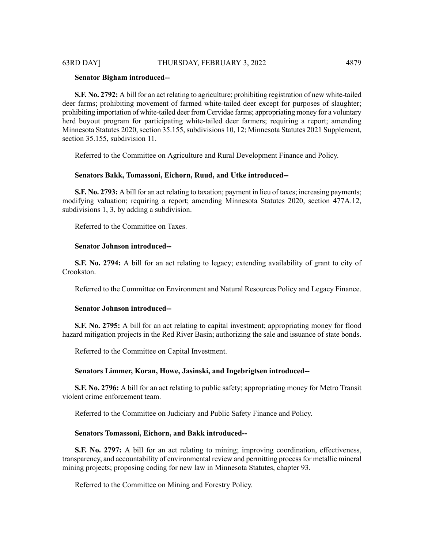# **Senator Bigham introduced--**

**S.F. No. 2792:** A bill for an act relating to agriculture; prohibiting registration of new white-tailed deer farms; prohibiting movement of farmed white-tailed deer except for purposes of slaughter; prohibiting importation of white-tailed deer from Cervidae farms; appropriating money for a voluntary herd buyout program for participating white-tailed deer farmers; requiring a report; amending Minnesota Statutes 2020, section 35.155, subdivisions 10, 12; Minnesota Statutes 2021 Supplement, section 35.155, subdivision 11.

Referred to the Committee on Agriculture and Rural Development Finance and Policy.

#### **Senators Bakk, Tomassoni, Eichorn, Ruud, and Utke introduced--**

**S.F. No. 2793:** A bill for an act relating to taxation; payment in lieu of taxes; increasing payments; modifying valuation; requiring a report; amending Minnesota Statutes 2020, section 477A.12, subdivisions 1, 3, by adding a subdivision.

Referred to the Committee on Taxes.

#### **Senator Johnson introduced--**

**S.F. No. 2794:** A bill for an act relating to legacy; extending availability of grant to city of Crookston.

Referred to the Committee on Environment and Natural Resources Policy and Legacy Finance.

# **Senator Johnson introduced--**

**S.F. No. 2795:** A bill for an act relating to capital investment; appropriating money for flood hazard mitigation projects in the Red River Basin; authorizing the sale and issuance of state bonds.

Referred to the Committee on Capital Investment.

# **Senators Limmer, Koran, Howe, Jasinski, and Ingebrigtsen introduced--**

**S.F. No. 2796:** A bill for an act relating to public safety; appropriating money for Metro Transit violent crime enforcement team.

Referred to the Committee on Judiciary and Public Safety Finance and Policy.

# **Senators Tomassoni, Eichorn, and Bakk introduced--**

**S.F. No. 2797:** A bill for an act relating to mining; improving coordination, effectiveness, transparency, and accountability of environmental review and permitting processfor metallic mineral mining projects; proposing coding for new law in Minnesota Statutes, chapter 93.

Referred to the Committee on Mining and Forestry Policy.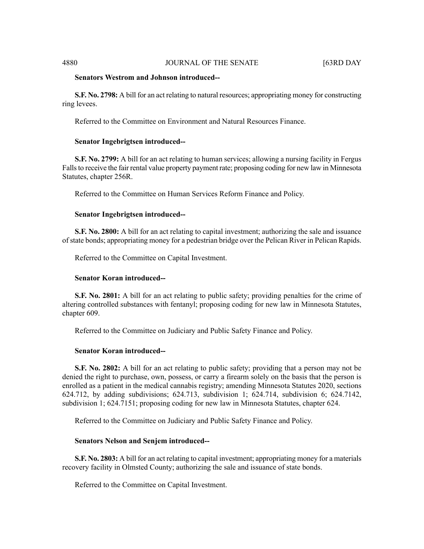#### **Senators Westrom and Johnson introduced--**

**S.F. No. 2798:** A bill for an act relating to natural resources; appropriating money for constructing ring levees.

Referred to the Committee on Environment and Natural Resources Finance.

#### **Senator Ingebrigtsen introduced--**

**S.F. No. 2799:** A bill for an act relating to human services; allowing a nursing facility in Fergus Falls to receive the fair rental value property payment rate; proposing coding for new law in Minnesota Statutes, chapter 256R.

Referred to the Committee on Human Services Reform Finance and Policy.

#### **Senator Ingebrigtsen introduced--**

**S.F. No. 2800:** A bill for an act relating to capital investment; authorizing the sale and issuance of state bonds; appropriating money for a pedestrian bridge over the Pelican River in Pelican Rapids.

Referred to the Committee on Capital Investment.

#### **Senator Koran introduced--**

**S.F. No. 2801:** A bill for an act relating to public safety; providing penalties for the crime of altering controlled substances with fentanyl; proposing coding for new law in Minnesota Statutes, chapter 609.

Referred to the Committee on Judiciary and Public Safety Finance and Policy.

### **Senator Koran introduced--**

**S.F. No. 2802:** A bill for an act relating to public safety; providing that a person may not be denied the right to purchase, own, possess, or carry a firearm solely on the basis that the person is enrolled as a patient in the medical cannabis registry; amending Minnesota Statutes 2020, sections 624.712, by adding subdivisions; 624.713, subdivision 1; 624.714, subdivision 6; 624.7142, subdivision 1; 624.7151; proposing coding for new law in Minnesota Statutes, chapter 624.

Referred to the Committee on Judiciary and Public Safety Finance and Policy.

#### **Senators Nelson and Senjem introduced--**

**S.F. No. 2803:** A bill for an act relating to capital investment; appropriating money for a materials recovery facility in Olmsted County; authorizing the sale and issuance of state bonds.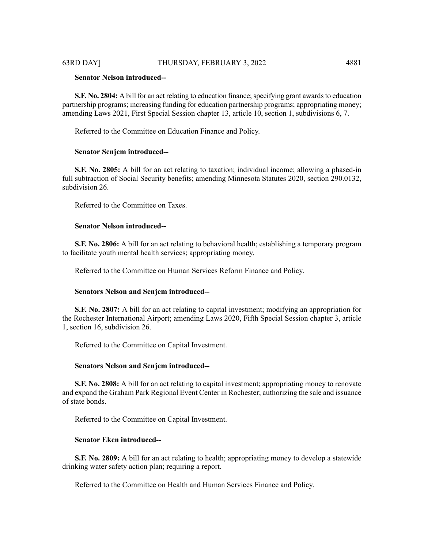# **Senator Nelson introduced--**

**S.F. No. 2804:** A bill for an act relating to education finance; specifying grant awards to education partnership programs; increasing funding for education partnership programs; appropriating money; amending Laws 2021, First Special Session chapter 13, article 10, section 1, subdivisions 6, 7.

Referred to the Committee on Education Finance and Policy.

# **Senator Senjem introduced--**

**S.F. No. 2805:** A bill for an act relating to taxation; individual income; allowing a phased-in full subtraction of Social Security benefits; amending Minnesota Statutes 2020, section 290.0132, subdivision 26.

Referred to the Committee on Taxes.

# **Senator Nelson introduced--**

**S.F. No. 2806:** A bill for an act relating to behavioral health; establishing a temporary program to facilitate youth mental health services; appropriating money.

Referred to the Committee on Human Services Reform Finance and Policy.

# **Senators Nelson and Senjem introduced--**

**S.F. No. 2807:** A bill for an act relating to capital investment; modifying an appropriation for the Rochester International Airport; amending Laws 2020, Fifth Special Session chapter 3, article 1, section 16, subdivision 26.

Referred to the Committee on Capital Investment.

# **Senators Nelson and Senjem introduced--**

**S.F. No. 2808:** A bill for an act relating to capital investment; appropriating money to renovate and expand the Graham Park Regional Event Center in Rochester; authorizing the sale and issuance of state bonds.

Referred to the Committee on Capital Investment.

# **Senator Eken introduced--**

**S.F. No. 2809:** A bill for an act relating to health; appropriating money to develop a statewide drinking water safety action plan; requiring a report.

Referred to the Committee on Health and Human Services Finance and Policy.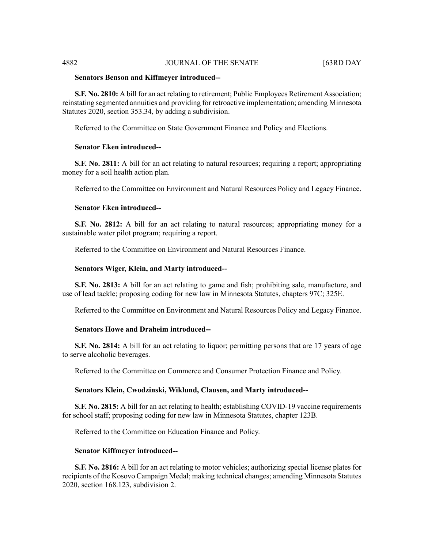# 4882 JOURNAL OF THE SENATE [63RD DAY

#### **Senators Benson and Kiffmeyer introduced--**

**S.F. No. 2810:** A bill for an act relating to retirement; Public Employees Retirement Association; reinstating segmented annuities and providing for retroactive implementation; amending Minnesota Statutes 2020, section 353.34, by adding a subdivision.

Referred to the Committee on State Government Finance and Policy and Elections.

# **Senator Eken introduced--**

**S.F. No. 2811:** A bill for an act relating to natural resources; requiring a report; appropriating money for a soil health action plan.

Referred to the Committee on Environment and Natural Resources Policy and Legacy Finance.

#### **Senator Eken introduced--**

**S.F. No. 2812:** A bill for an act relating to natural resources; appropriating money for a sustainable water pilot program; requiring a report.

Referred to the Committee on Environment and Natural Resources Finance.

#### **Senators Wiger, Klein, and Marty introduced--**

**S.F. No. 2813:** A bill for an act relating to game and fish; prohibiting sale, manufacture, and use of lead tackle; proposing coding for new law in Minnesota Statutes, chapters 97C; 325E.

Referred to the Committee on Environment and Natural Resources Policy and Legacy Finance.

# **Senators Howe and Draheim introduced--**

**S.F.** No. 2814: A bill for an act relating to liquor; permitting persons that are 17 years of age to serve alcoholic beverages.

Referred to the Committee on Commerce and Consumer Protection Finance and Policy.

#### **Senators Klein, Cwodzinski, Wiklund, Clausen, and Marty introduced--**

**S.F. No. 2815:** A bill for an act relating to health; establishing COVID-19 vaccine requirements for school staff; proposing coding for new law in Minnesota Statutes, chapter 123B.

Referred to the Committee on Education Finance and Policy.

#### **Senator Kiffmeyer introduced--**

**S.F. No. 2816:** A bill for an act relating to motor vehicles; authorizing special license plates for recipients of the Kosovo Campaign Medal; making technical changes; amending Minnesota Statutes 2020, section 168.123, subdivision 2.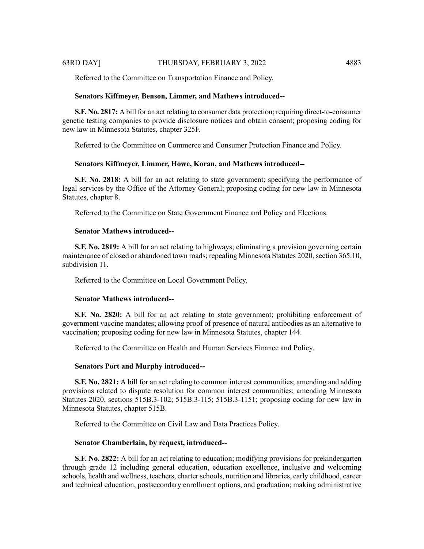Referred to the Committee on Transportation Finance and Policy.

#### **Senators Kiffmeyer, Benson, Limmer, and Mathews introduced--**

**S.F. No. 2817:** A bill for an act relating to consumer data protection; requiring direct-to-consumer genetic testing companies to provide disclosure notices and obtain consent; proposing coding for new law in Minnesota Statutes, chapter 325F.

Referred to the Committee on Commerce and Consumer Protection Finance and Policy.

# **Senators Kiffmeyer, Limmer, Howe, Koran, and Mathews introduced--**

**S.F. No. 2818:** A bill for an act relating to state government; specifying the performance of legal services by the Office of the Attorney General; proposing coding for new law in Minnesota Statutes, chapter 8.

Referred to the Committee on State Government Finance and Policy and Elections.

#### **Senator Mathews introduced--**

**S.F. No. 2819:** A bill for an act relating to highways; eliminating a provision governing certain maintenance of closed or abandoned town roads; repealing Minnesota Statutes 2020, section 365.10, subdivision 11.

Referred to the Committee on Local Government Policy.

#### **Senator Mathews introduced--**

**S.F. No. 2820:** A bill for an act relating to state government; prohibiting enforcement of government vaccine mandates; allowing proof of presence of natural antibodies as an alternative to vaccination; proposing coding for new law in Minnesota Statutes, chapter 144.

Referred to the Committee on Health and Human Services Finance and Policy.

#### **Senators Port and Murphy introduced--**

**S.F. No. 2821:** A bill for an act relating to common interest communities; amending and adding provisions related to dispute resolution for common interest communities; amending Minnesota Statutes 2020, sections 515B.3-102; 515B.3-115; 515B.3-1151; proposing coding for new law in Minnesota Statutes, chapter 515B.

Referred to the Committee on Civil Law and Data Practices Policy.

#### **Senator Chamberlain, by request, introduced--**

**S.F. No. 2822:** A bill for an act relating to education; modifying provisions for prekindergarten through grade 12 including general education, education excellence, inclusive and welcoming schools, health and wellness, teachers, charter schools, nutrition and libraries, early childhood, career and technical education, postsecondary enrollment options, and graduation; making administrative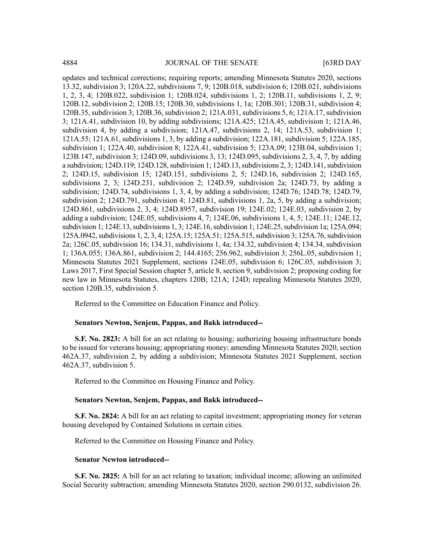updates and technical corrections; requiring reports; amending Minnesota Statutes 2020, sections 13.32, subdivision 3; 120A.22, subdivisions 7, 9; 120B.018, subdivision 6; 120B.021, subdivisions 1, 2, 3, 4; 120B.022, subdivision 1; 120B.024, subdivisions 1, 2; 120B.11, subdivisions 1, 2, 9; 120B.12, subdivision 2; 120B.15; 120B.30, subdivisions 1, 1a; 120B.301; 120B.31, subdivision 4; 120B.35, subdivision 3; 120B.36, subdivision 2; 121A.031, subdivisions 5, 6; 121A.17, subdivision 3; 121A.41, subdivision 10, by adding subdivisions; 121A.425; 121A.45, subdivision 1; 121A.46, subdivision 4, by adding a subdivision; 121A.47, subdivisions 2, 14; 121A.53, subdivision 1; 121A.55; 121A.61, subdivisions 1, 3, by adding a subdivision; 122A.181, subdivision 5; 122A.185, subdivision 1; 122A.40, subdivision 8; 122A.41, subdivision 5; 123A.09; 123B.04, subdivision 1; 123B.147, subdivision 3; 124D.09, subdivisions 3, 13; 124D.095, subdivisions 2, 3, 4, 7, by adding a subdivision; 124D.119; 124D.128, subdivision 1; 124D.13, subdivisions 2, 3; 124D.141, subdivision 2; 124D.15, subdivision 15; 124D.151, subdivisions 2, 5; 124D.16, subdivision 2; 124D.165, subdivisions 2, 3; 124D.231, subdivision 2; 124D.59, subdivision 2a; 124D.73, by adding a subdivision; 124D.74, subdivisions 1, 3, 4, by adding a subdivision; 124D.76; 124D.78; 124D.79, subdivision 2; 124D.791, subdivision 4; 124D.81, subdivisions 1, 2a, 5, by adding a subdivision; 124D.861, subdivisions 2, 3, 4; 124D.8957, subdivision 19; 124E.02; 124E.03, subdivision 2, by adding a subdivision; 124E.05, subdivisions 4, 7; 124E.06, subdivisions 1, 4, 5; 124E.11; 124E.12, subdivision 1;  $124E.13$ , subdivisions 1, 3;  $124E.16$ , subdivision 1;  $124E.25$ , subdivision 1a;  $125A.094$ ; 125A.0942, subdivisions 1, 2, 3, 4; 125A.15; 125A.51; 125A.515, subdivision 3; 125A.76, subdivision 2a; 126C.05, subdivision 16; 134.31, subdivisions 1, 4a; 134.32, subdivision 4; 134.34, subdivision 1; 136A.055; 136A.861, subdivision 2; 144.4165; 256.962, subdivision 3; 256L.05, subdivision 1; Minnesota Statutes 2021 Supplement, sections 124E.05, subdivision 6; 126C.05, subdivision 3; Laws 2017, First Special Session chapter 5, article 8, section 9, subdivision 2; proposing coding for new law in Minnesota Statutes, chapters 120B; 121A; 124D; repealing Minnesota Statutes 2020, section 120B.35, subdivision 5.

Referred to the Committee on Education Finance and Policy.

#### **Senators Newton, Senjem, Pappas, and Bakk introduced--**

**S.F. No. 2823:** A bill for an act relating to housing; authorizing housing infrastructure bonds to be issued for veterans housing; appropriating money; amending Minnesota Statutes 2020, section 462A.37, subdivision 2, by adding a subdivision; Minnesota Statutes 2021 Supplement, section 462A.37, subdivision 5.

Referred to the Committee on Housing Finance and Policy.

#### **Senators Newton, Senjem, Pappas, and Bakk introduced--**

**S.F. No. 2824:** A bill for an act relating to capital investment; appropriating money for veteran housing developed by Contained Solutions in certain cities.

Referred to the Committee on Housing Finance and Policy.

#### **Senator Newton introduced--**

**S.F. No. 2825:** A bill for an act relating to taxation; individual income; allowing an unlimited Social Security subtraction; amending Minnesota Statutes 2020, section 290.0132, subdivision 26.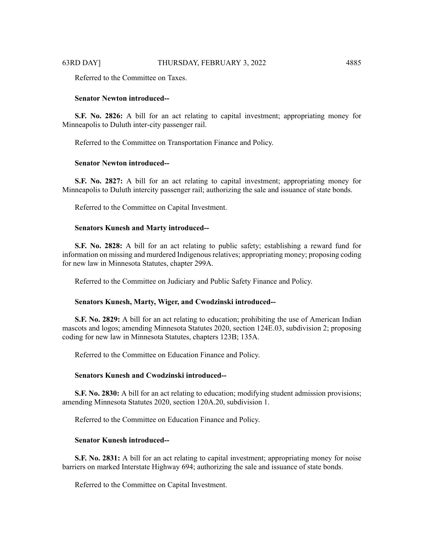Referred to the Committee on Taxes.

#### **Senator Newton introduced--**

**S.F. No. 2826:** A bill for an act relating to capital investment; appropriating money for Minneapolis to Duluth inter-city passenger rail.

Referred to the Committee on Transportation Finance and Policy.

#### **Senator Newton introduced--**

**S.F. No. 2827:** A bill for an act relating to capital investment; appropriating money for Minneapolis to Duluth intercity passenger rail; authorizing the sale and issuance of state bonds.

Referred to the Committee on Capital Investment.

#### **Senators Kunesh and Marty introduced--**

**S.F. No. 2828:** A bill for an act relating to public safety; establishing a reward fund for information on missing and murdered Indigenous relatives; appropriating money; proposing coding for new law in Minnesota Statutes, chapter 299A.

Referred to the Committee on Judiciary and Public Safety Finance and Policy.

#### **Senators Kunesh, Marty, Wiger, and Cwodzinski introduced--**

**S.F. No. 2829:** A bill for an act relating to education; prohibiting the use of American Indian mascots and logos; amending Minnesota Statutes 2020, section 124E.03, subdivision 2; proposing coding for new law in Minnesota Statutes, chapters 123B; 135A.

Referred to the Committee on Education Finance and Policy.

#### **Senators Kunesh and Cwodzinski introduced--**

**S.F. No. 2830:** A bill for an act relating to education; modifying student admission provisions; amending Minnesota Statutes 2020, section 120A.20, subdivision 1.

Referred to the Committee on Education Finance and Policy.

# **Senator Kunesh introduced--**

**S.F. No. 2831:** A bill for an act relating to capital investment; appropriating money for noise barriers on marked Interstate Highway 694; authorizing the sale and issuance of state bonds.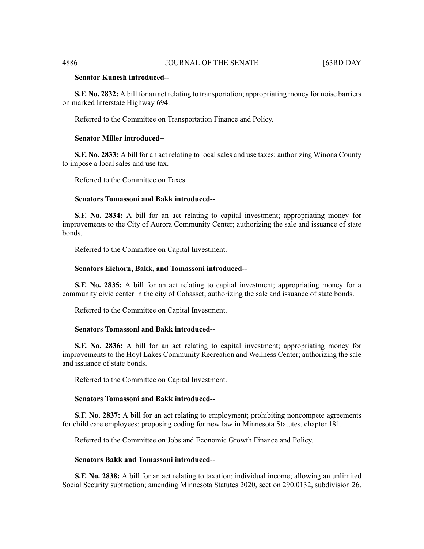# **Senator Kunesh introduced--**

**S.F. No. 2832:** A bill for an act relating to transportation; appropriating money for noise barriers on marked Interstate Highway 694.

Referred to the Committee on Transportation Finance and Policy.

# **Senator Miller introduced--**

**S.F. No. 2833:** A bill for an act relating to local sales and use taxes; authorizing Winona County to impose a local sales and use tax.

Referred to the Committee on Taxes.

# **Senators Tomassoni and Bakk introduced--**

**S.F. No. 2834:** A bill for an act relating to capital investment; appropriating money for improvements to the City of Aurora Community Center; authorizing the sale and issuance of state bonds.

Referred to the Committee on Capital Investment.

#### **Senators Eichorn, Bakk, and Tomassoni introduced--**

**S.F. No. 2835:** A bill for an act relating to capital investment; appropriating money for a community civic center in the city of Cohasset; authorizing the sale and issuance of state bonds.

Referred to the Committee on Capital Investment.

# **Senators Tomassoni and Bakk introduced--**

**S.F. No. 2836:** A bill for an act relating to capital investment; appropriating money for improvements to the Hoyt Lakes Community Recreation and Wellness Center; authorizing the sale and issuance of state bonds.

Referred to the Committee on Capital Investment.

# **Senators Tomassoni and Bakk introduced--**

**S.F. No. 2837:** A bill for an act relating to employment; prohibiting noncompete agreements for child care employees; proposing coding for new law in Minnesota Statutes, chapter 181.

Referred to the Committee on Jobs and Economic Growth Finance and Policy.

#### **Senators Bakk and Tomassoni introduced--**

**S.F. No. 2838:** A bill for an act relating to taxation; individual income; allowing an unlimited Social Security subtraction; amending Minnesota Statutes 2020, section 290.0132, subdivision 26.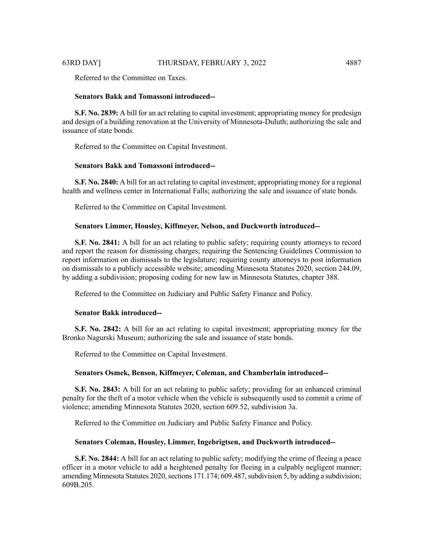Referred to the Committee on Taxes.

# **Senators Bakk and Tomassoni introduced--**

**S.F. No. 2839:** A bill for an act relating to capital investment; appropriating money for predesign and design of a building renovation at the University of Minnesota-Duluth; authorizing the sale and issuance of state bonds.

Referred to the Committee on Capital Investment.

# **Senators Bakk and Tomassoni introduced--**

**S.F. No. 2840:** A bill for an act relating to capital investment; appropriating money for a regional health and wellness center in International Falls; authorizing the sale and issuance of state bonds.

Referred to the Committee on Capital Investment.

#### **Senators Limmer, Housley, Kiffmeyer, Nelson, and Duckworth introduced--**

**S.F. No. 2841:** A bill for an act relating to public safety; requiring county attorneys to record and report the reason for dismissing charges; requiring the Sentencing Guidelines Commission to report information on dismissals to the legislature; requiring county attorneys to post information on dismissals to a publicly accessible website; amending Minnesota Statutes 2020, section 244.09, by adding a subdivision; proposing coding for new law in Minnesota Statutes, chapter 388.

Referred to the Committee on Judiciary and Public Safety Finance and Policy.

# **Senator Bakk introduced--**

**S.F. No. 2842:** A bill for an act relating to capital investment; appropriating money for the Bronko Nagurski Museum; authorizing the sale and issuance of state bonds.

Referred to the Committee on Capital Investment.

#### **Senators Osmek, Benson, Kiffmeyer, Coleman, and Chamberlain introduced--**

**S.F. No. 2843:** A bill for an act relating to public safety; providing for an enhanced criminal penalty for the theft of a motor vehicle when the vehicle is subsequently used to commit a crime of violence; amending Minnesota Statutes 2020, section 609.52, subdivision 3a.

Referred to the Committee on Judiciary and Public Safety Finance and Policy.

#### **Senators Coleman, Housley, Limmer, Ingebrigtsen, and Duckworth introduced--**

**S.F. No. 2844:** A bill for an act relating to public safety; modifying the crime of fleeing a peace officer in a motor vehicle to add a heightened penalty for fleeing in a culpably negligent manner; amending Minnesota Statutes 2020, sections  $171.174$ ; 609.487, subdivision 5, by adding a subdivision; 609B.205.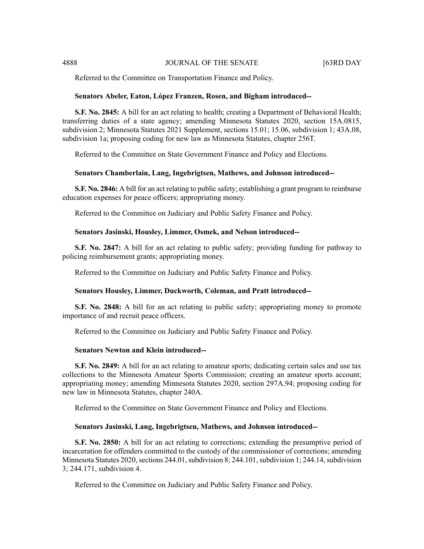Referred to the Committee on Transportation Finance and Policy.

#### **Senators Abeler, Eaton, López Franzen, Rosen, and Bigham introduced--**

**S.F. No. 2845:** A bill for an act relating to health; creating a Department of Behavioral Health; transferring duties of a state agency; amending Minnesota Statutes 2020, section 15A.0815, subdivision 2; Minnesota Statutes 2021 Supplement, sections 15.01; 15.06, subdivision 1; 43A.08, subdivision 1a; proposing coding for new law as Minnesota Statutes, chapter 256T.

Referred to the Committee on State Government Finance and Policy and Elections.

#### **Senators Chamberlain, Lang, Ingebrigtsen, Mathews, and Johnson introduced--**

**S.F. No. 2846:** A bill for an act relating to public safety; establishing a grant program to reimburse education expenses for peace officers; appropriating money.

Referred to the Committee on Judiciary and Public Safety Finance and Policy.

#### **Senators Jasinski, Housley, Limmer, Osmek, and Nelson introduced--**

**S.F. No. 2847:** A bill for an act relating to public safety; providing funding for pathway to policing reimbursement grants; appropriating money.

Referred to the Committee on Judiciary and Public Safety Finance and Policy.

#### **Senators Housley, Limmer, Duckworth, Coleman, and Pratt introduced--**

**S.F. No. 2848:** A bill for an act relating to public safety; appropriating money to promote importance of and recruit peace officers.

Referred to the Committee on Judiciary and Public Safety Finance and Policy.

#### **Senators Newton and Klein introduced--**

**S.F. No. 2849:** A bill for an act relating to amateur sports; dedicating certain sales and use tax collections to the Minnesota Amateur Sports Commission; creating an amateur sports account; appropriating money; amending Minnesota Statutes 2020, section 297A.94; proposing coding for new law in Minnesota Statutes, chapter 240A.

Referred to the Committee on State Government Finance and Policy and Elections.

#### **Senators Jasinski, Lang, Ingebrigtsen, Mathews, and Johnson introduced--**

**S.F. No. 2850:** A bill for an act relating to corrections; extending the presumptive period of incarceration for offenders committed to the custody of the commissioner of corrections; amending Minnesota Statutes 2020, sections 244.01, subdivision 8; 244.101, subdivision 1; 244.14, subdivision 3; 244.171, subdivision 4.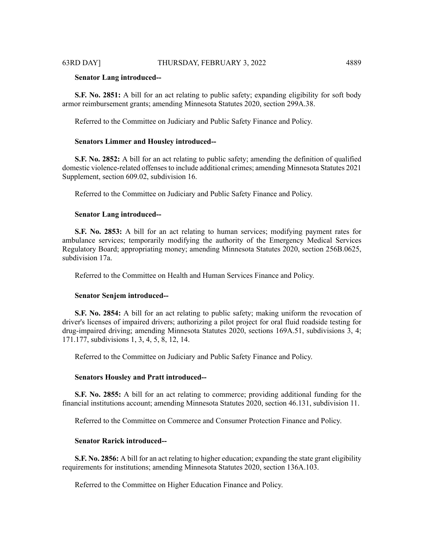#### **Senator Lang introduced--**

**S.F. No. 2851:** A bill for an act relating to public safety; expanding eligibility for soft body armor reimbursement grants; amending Minnesota Statutes 2020, section 299A.38.

Referred to the Committee on Judiciary and Public Safety Finance and Policy.

#### **Senators Limmer and Housley introduced--**

**S.F. No. 2852:** A bill for an act relating to public safety; amending the definition of qualified domestic violence-related offenses to include additional crimes; amending Minnesota Statutes 2021 Supplement, section 609.02, subdivision 16.

Referred to the Committee on Judiciary and Public Safety Finance and Policy.

#### **Senator Lang introduced--**

**S.F. No. 2853:** A bill for an act relating to human services; modifying payment rates for ambulance services; temporarily modifying the authority of the Emergency Medical Services Regulatory Board; appropriating money; amending Minnesota Statutes 2020, section 256B.0625, subdivision 17a.

Referred to the Committee on Health and Human Services Finance and Policy.

#### **Senator Senjem introduced--**

**S.F. No. 2854:** A bill for an act relating to public safety; making uniform the revocation of driver's licenses of impaired drivers; authorizing a pilot project for oral fluid roadside testing for drug-impaired driving; amending Minnesota Statutes 2020, sections 169A.51, subdivisions 3, 4; 171.177, subdivisions 1, 3, 4, 5, 8, 12, 14.

Referred to the Committee on Judiciary and Public Safety Finance and Policy.

#### **Senators Housley and Pratt introduced--**

**S.F. No. 2855:** A bill for an act relating to commerce; providing additional funding for the financial institutions account; amending Minnesota Statutes 2020, section 46.131, subdivision 11.

Referred to the Committee on Commerce and Consumer Protection Finance and Policy.

#### **Senator Rarick introduced--**

**S.F. No. 2856:** A bill for an act relating to higher education; expanding the state grant eligibility requirements for institutions; amending Minnesota Statutes 2020, section 136A.103.

Referred to the Committee on Higher Education Finance and Policy.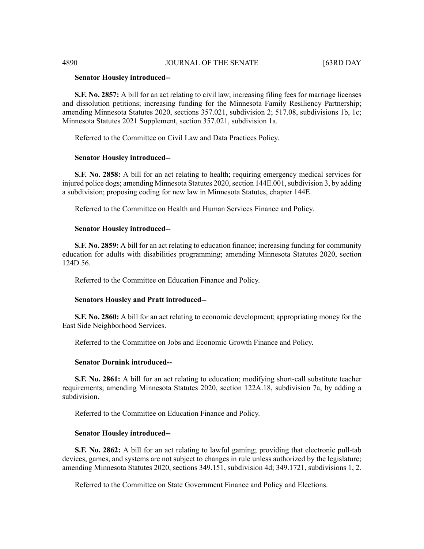#### **Senator Housley introduced--**

**S.F. No. 2857:** A bill for an act relating to civil law; increasing filing fees for marriage licenses and dissolution petitions; increasing funding for the Minnesota Family Resiliency Partnership; amending Minnesota Statutes 2020, sections 357.021, subdivision 2; 517.08, subdivisions 1b, 1c; Minnesota Statutes 2021 Supplement, section 357.021, subdivision 1a.

Referred to the Committee on Civil Law and Data Practices Policy.

#### **Senator Housley introduced--**

**S.F. No. 2858:** A bill for an act relating to health; requiring emergency medical services for injured police dogs; amending Minnesota Statutes 2020, section 144E.001, subdivision 3, by adding a subdivision; proposing coding for new law in Minnesota Statutes, chapter 144E.

Referred to the Committee on Health and Human Services Finance and Policy.

#### **Senator Housley introduced--**

**S.F. No. 2859:** A bill for an act relating to education finance; increasing funding for community education for adults with disabilities programming; amending Minnesota Statutes 2020, section 124D.56.

Referred to the Committee on Education Finance and Policy.

#### **Senators Housley and Pratt introduced--**

**S.F. No. 2860:** A bill for an act relating to economic development; appropriating money for the East Side Neighborhood Services.

Referred to the Committee on Jobs and Economic Growth Finance and Policy.

#### **Senator Dornink introduced--**

**S.F. No. 2861:** A bill for an act relating to education; modifying short-call substitute teacher requirements; amending Minnesota Statutes 2020, section 122A.18, subdivision 7a, by adding a subdivision.

Referred to the Committee on Education Finance and Policy.

#### **Senator Housley introduced--**

**S.F. No. 2862:** A bill for an act relating to lawful gaming; providing that electronic pull-tab devices, games, and systems are not subject to changes in rule unless authorized by the legislature; amending Minnesota Statutes 2020, sections 349.151, subdivision 4d; 349.1721, subdivisions 1, 2.

Referred to the Committee on State Government Finance and Policy and Elections.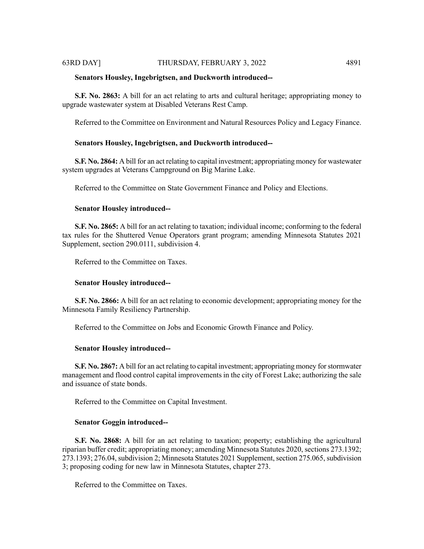# **Senators Housley, Ingebrigtsen, and Duckworth introduced--**

**S.F. No. 2863:** A bill for an act relating to arts and cultural heritage; appropriating money to upgrade wastewater system at Disabled Veterans Rest Camp.

Referred to the Committee on Environment and Natural Resources Policy and Legacy Finance.

# **Senators Housley, Ingebrigtsen, and Duckworth introduced--**

**S.F. No. 2864:** A bill for an act relating to capital investment; appropriating money for wastewater system upgrades at Veterans Campground on Big Marine Lake.

Referred to the Committee on State Government Finance and Policy and Elections.

# **Senator Housley introduced--**

**S.F. No. 2865:** A bill for an act relating to taxation; individual income; conforming to the federal tax rules for the Shuttered Venue Operators grant program; amending Minnesota Statutes 2021 Supplement, section 290.0111, subdivision 4.

Referred to the Committee on Taxes.

# **Senator Housley introduced--**

**S.F. No. 2866:** A bill for an act relating to economic development; appropriating money for the Minnesota Family Resiliency Partnership.

Referred to the Committee on Jobs and Economic Growth Finance and Policy.

# **Senator Housley introduced--**

**S.F. No. 2867:** A bill for an act relating to capital investment; appropriating money for stormwater management and flood control capital improvements in the city of Forest Lake; authorizing the sale and issuance of state bonds.

Referred to the Committee on Capital Investment.

# **Senator Goggin introduced--**

**S.F. No. 2868:** A bill for an act relating to taxation; property; establishing the agricultural riparian buffer credit; appropriating money; amending Minnesota Statutes 2020, sections 273.1392; 273.1393; 276.04, subdivision 2; Minnesota Statutes 2021 Supplement, section 275.065, subdivision 3; proposing coding for new law in Minnesota Statutes, chapter 273.

Referred to the Committee on Taxes.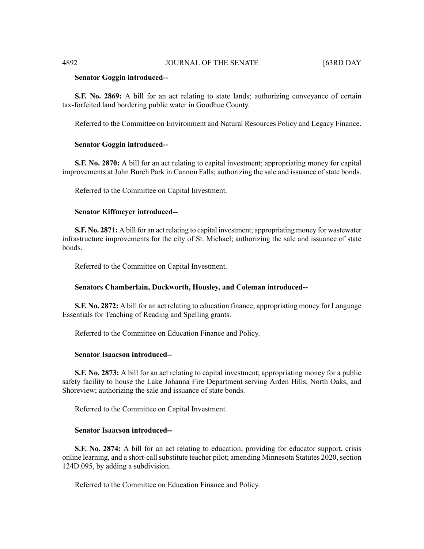#### **Senator Goggin introduced--**

**S.F. No. 2869:** A bill for an act relating to state lands; authorizing conveyance of certain tax-forfeited land bordering public water in Goodhue County.

Referred to the Committee on Environment and Natural Resources Policy and Legacy Finance.

## **Senator Goggin introduced--**

**S.F. No. 2870:** A bill for an act relating to capital investment; appropriating money for capital improvements at John Burch Park in Cannon Falls; authorizing the sale and issuance of state bonds.

Referred to the Committee on Capital Investment.

#### **Senator Kiffmeyer introduced--**

**S.F. No. 2871:** A bill for an act relating to capital investment; appropriating money for wastewater infrastructure improvements for the city of St. Michael; authorizing the sale and issuance of state bonds.

Referred to the Committee on Capital Investment.

#### **Senators Chamberlain, Duckworth, Housley, and Coleman introduced--**

**S.F. No. 2872:** A bill for an act relating to education finance; appropriating money for Language Essentials for Teaching of Reading and Spelling grants.

Referred to the Committee on Education Finance and Policy.

# **Senator Isaacson introduced--**

**S.F. No. 2873:** A bill for an act relating to capital investment; appropriating money for a public safety facility to house the Lake Johanna Fire Department serving Arden Hills, North Oaks, and Shoreview; authorizing the sale and issuance of state bonds.

Referred to the Committee on Capital Investment.

#### **Senator Isaacson introduced--**

**S.F. No. 2874:** A bill for an act relating to education; providing for educator support, crisis online learning, and a short-call substitute teacher pilot; amending Minnesota Statutes 2020, section 124D.095, by adding a subdivision.

Referred to the Committee on Education Finance and Policy.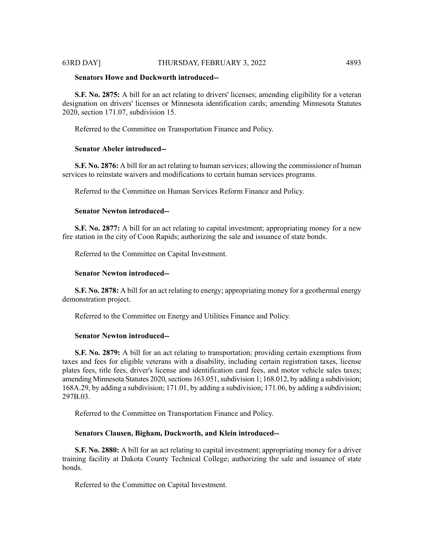#### **Senators Howe and Duckworth introduced--**

**S.F. No. 2875:** A bill for an act relating to drivers' licenses; amending eligibility for a veteran designation on drivers' licenses or Minnesota identification cards; amending Minnesota Statutes 2020, section 171.07, subdivision 15.

Referred to the Committee on Transportation Finance and Policy.

# **Senator Abeler introduced--**

**S.F. No. 2876:** A bill for an act relating to human services; allowing the commissioner of human services to reinstate waivers and modifications to certain human services programs.

Referred to the Committee on Human Services Reform Finance and Policy.

# **Senator Newton introduced--**

**S.F. No. 2877:** A bill for an act relating to capital investment; appropriating money for a new fire station in the city of Coon Rapids; authorizing the sale and issuance of state bonds.

Referred to the Committee on Capital Investment.

#### **Senator Newton introduced--**

**S.F. No. 2878:** A bill for an act relating to energy; appropriating money for a geothermal energy demonstration project.

Referred to the Committee on Energy and Utilities Finance and Policy.

#### **Senator Newton introduced--**

**S.F. No. 2879:** A bill for an act relating to transportation; providing certain exemptions from taxes and fees for eligible veterans with a disability, including certain registration taxes, license plates fees, title fees, driver's license and identification card fees, and motor vehicle sales taxes; amending Minnesota Statutes 2020, sections 163.051, subdivision 1; 168.012, by adding a subdivision; 168A.29, by adding a subdivision; 171.01, by adding a subdivision; 171.06, by adding a subdivision; 297B.03.

Referred to the Committee on Transportation Finance and Policy.

#### **Senators Clausen, Bigham, Duckworth, and Klein introduced--**

**S.F. No. 2880:** A bill for an act relating to capital investment; appropriating money for a driver training facility at Dakota County Technical College; authorizing the sale and issuance of state bonds.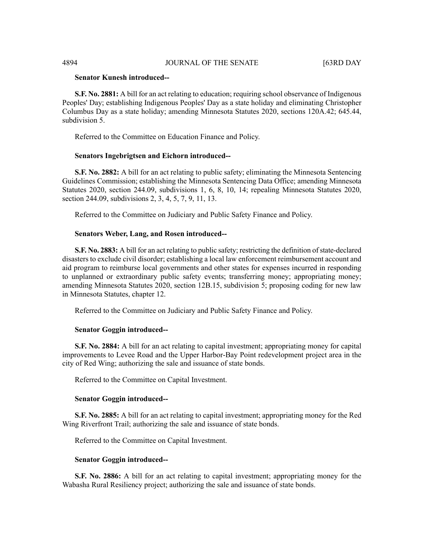# **Senator Kunesh introduced--**

**S.F. No. 2881:** A bill for an act relating to education; requiring school observance of Indigenous Peoples' Day; establishing Indigenous Peoples' Day as a state holiday and eliminating Christopher Columbus Day as a state holiday; amending Minnesota Statutes 2020, sections 120A.42; 645.44, subdivision 5.

Referred to the Committee on Education Finance and Policy.

#### **Senators Ingebrigtsen and Eichorn introduced--**

**S.F. No. 2882:** A bill for an act relating to public safety; eliminating the Minnesota Sentencing Guidelines Commission; establishing the Minnesota Sentencing Data Office; amending Minnesota Statutes 2020, section 244.09, subdivisions 1, 6, 8, 10, 14; repealing Minnesota Statutes 2020, section 244.09, subdivisions 2, 3, 4, 5, 7, 9, 11, 13.

Referred to the Committee on Judiciary and Public Safety Finance and Policy.

#### **Senators Weber, Lang, and Rosen introduced--**

**S.F. No. 2883:** A bill for an act relating to public safety; restricting the definition of state-declared disasters to exclude civil disorder; establishing a local law enforcement reimbursement account and aid program to reimburse local governments and other states for expenses incurred in responding to unplanned or extraordinary public safety events; transferring money; appropriating money; amending Minnesota Statutes 2020, section 12B.15, subdivision 5; proposing coding for new law in Minnesota Statutes, chapter 12.

Referred to the Committee on Judiciary and Public Safety Finance and Policy.

#### **Senator Goggin introduced--**

**S.F. No. 2884:** A bill for an act relating to capital investment; appropriating money for capital improvements to Levee Road and the Upper Harbor-Bay Point redevelopment project area in the city of Red Wing; authorizing the sale and issuance of state bonds.

Referred to the Committee on Capital Investment.

#### **Senator Goggin introduced--**

**S.F. No. 2885:** A bill for an act relating to capital investment; appropriating money for the Red Wing Riverfront Trail; authorizing the sale and issuance of state bonds.

Referred to the Committee on Capital Investment.

#### **Senator Goggin introduced--**

**S.F. No. 2886:** A bill for an act relating to capital investment; appropriating money for the Wabasha Rural Resiliency project; authorizing the sale and issuance of state bonds.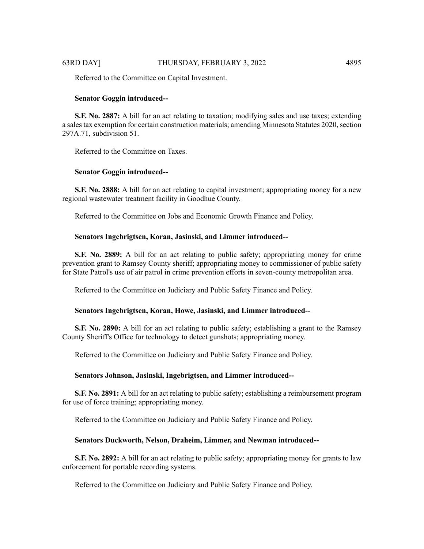Referred to the Committee on Capital Investment.

#### **Senator Goggin introduced--**

**S.F. No. 2887:** A bill for an act relating to taxation; modifying sales and use taxes; extending a sales tax exemption for certain construction materials; amending Minnesota Statutes 2020, section 297A.71, subdivision 51.

Referred to the Committee on Taxes.

#### **Senator Goggin introduced--**

**S.F. No. 2888:** A bill for an act relating to capital investment; appropriating money for a new regional wastewater treatment facility in Goodhue County.

Referred to the Committee on Jobs and Economic Growth Finance and Policy.

#### **Senators Ingebrigtsen, Koran, Jasinski, and Limmer introduced--**

**S.F. No. 2889:** A bill for an act relating to public safety; appropriating money for crime prevention grant to Ramsey County sheriff; appropriating money to commissioner of public safety for State Patrol's use of air patrol in crime prevention efforts in seven-county metropolitan area.

Referred to the Committee on Judiciary and Public Safety Finance and Policy.

#### **Senators Ingebrigtsen, Koran, Howe, Jasinski, and Limmer introduced--**

**S.F. No. 2890:** A bill for an act relating to public safety; establishing a grant to the Ramsey County Sheriff's Office for technology to detect gunshots; appropriating money.

Referred to the Committee on Judiciary and Public Safety Finance and Policy.

#### **Senators Johnson, Jasinski, Ingebrigtsen, and Limmer introduced--**

**S.F. No. 2891:** A bill for an act relating to public safety; establishing a reimbursement program for use of force training; appropriating money.

Referred to the Committee on Judiciary and Public Safety Finance and Policy.

#### **Senators Duckworth, Nelson, Draheim, Limmer, and Newman introduced--**

**S.F. No. 2892:** A bill for an act relating to public safety; appropriating money for grants to law enforcement for portable recording systems.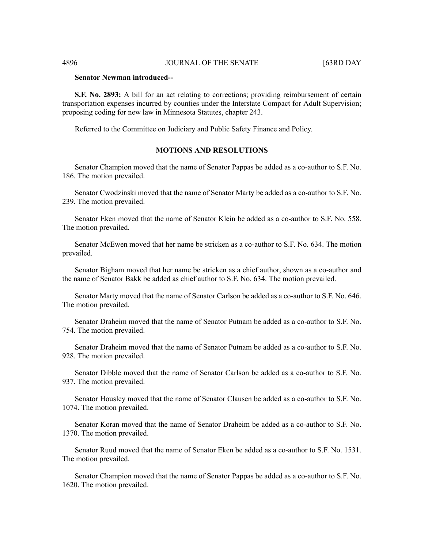# **Senator Newman introduced--**

**S.F. No. 2893:** A bill for an act relating to corrections; providing reimbursement of certain transportation expenses incurred by counties under the Interstate Compact for Adult Supervision; proposing coding for new law in Minnesota Statutes, chapter 243.

Referred to the Committee on Judiciary and Public Safety Finance and Policy.

# **MOTIONS AND RESOLUTIONS**

Senator Champion moved that the name of Senator Pappas be added as a co-author to S.F. No. 186. The motion prevailed.

Senator Cwodzinski moved that the name of Senator Marty be added as a co-author to S.F. No. 239. The motion prevailed.

Senator Eken moved that the name of Senator Klein be added as a co-author to S.F. No. 558. The motion prevailed.

Senator McEwen moved that her name be stricken as a co-author to S.F. No. 634. The motion prevailed.

Senator Bigham moved that her name be stricken as a chief author, shown as a co-author and the name of Senator Bakk be added as chief author to S.F. No. 634. The motion prevailed.

Senator Marty moved that the name of Senator Carlson be added as a co-author to S.F. No. 646. The motion prevailed.

Senator Draheim moved that the name of Senator Putnam be added as a co-author to S.F. No. 754. The motion prevailed.

Senator Draheim moved that the name of Senator Putnam be added as a co-author to S.F. No. 928. The motion prevailed.

Senator Dibble moved that the name of Senator Carlson be added as a co-author to S.F. No. 937. The motion prevailed.

Senator Housley moved that the name of Senator Clausen be added as a co-author to S.F. No. 1074. The motion prevailed.

Senator Koran moved that the name of Senator Draheim be added as a co-author to S.F. No. 1370. The motion prevailed.

Senator Ruud moved that the name of Senator Eken be added as a co-author to S.F. No. 1531. The motion prevailed.

Senator Champion moved that the name of Senator Pappas be added as a co-author to S.F. No. 1620. The motion prevailed.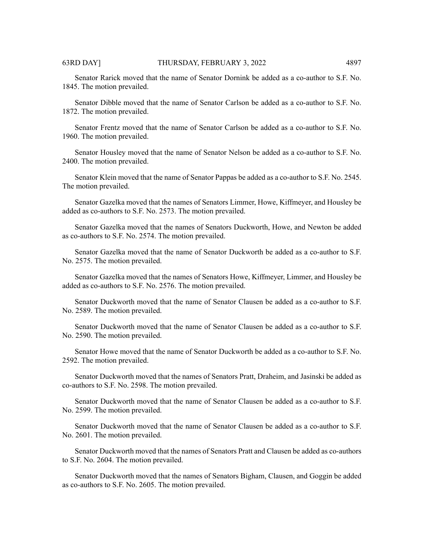Senator Rarick moved that the name of Senator Dornink be added as a co-author to S.F. No. 1845. The motion prevailed.

Senator Dibble moved that the name of Senator Carlson be added as a co-author to S.F. No. 1872. The motion prevailed.

Senator Frentz moved that the name of Senator Carlson be added as a co-author to S.F. No. 1960. The motion prevailed.

Senator Housley moved that the name of Senator Nelson be added as a co-author to S.F. No. 2400. The motion prevailed.

Senator Klein moved that the name of Senator Pappas be added as a co-author to S.F. No. 2545. The motion prevailed.

Senator Gazelka moved that the names of Senators Limmer, Howe, Kiffmeyer, and Housley be added as co-authors to S.F. No. 2573. The motion prevailed.

Senator Gazelka moved that the names of Senators Duckworth, Howe, and Newton be added as co-authors to S.F. No. 2574. The motion prevailed.

Senator Gazelka moved that the name of Senator Duckworth be added as a co-author to S.F. No. 2575. The motion prevailed.

Senator Gazelka moved that the names of Senators Howe, Kiffmeyer, Limmer, and Housley be added as co-authors to S.F. No. 2576. The motion prevailed.

Senator Duckworth moved that the name of Senator Clausen be added as a co-author to S.F. No. 2589. The motion prevailed.

Senator Duckworth moved that the name of Senator Clausen be added as a co-author to S.F. No. 2590. The motion prevailed.

Senator Howe moved that the name of Senator Duckworth be added as a co-author to S.F. No. 2592. The motion prevailed.

Senator Duckworth moved that the names of Senators Pratt, Draheim, and Jasinski be added as co-authors to S.F. No. 2598. The motion prevailed.

Senator Duckworth moved that the name of Senator Clausen be added as a co-author to S.F. No. 2599. The motion prevailed.

Senator Duckworth moved that the name of Senator Clausen be added as a co-author to S.F. No. 2601. The motion prevailed.

Senator Duckworth moved that the names of Senators Pratt and Clausen be added as co-authors to S.F. No. 2604. The motion prevailed.

Senator Duckworth moved that the names of Senators Bigham, Clausen, and Goggin be added as co-authors to S.F. No. 2605. The motion prevailed.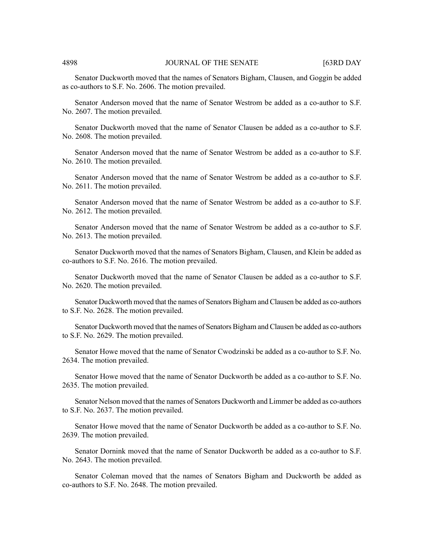Senator Duckworth moved that the names of Senators Bigham, Clausen, and Goggin be added as co-authors to S.F. No. 2606. The motion prevailed.

Senator Anderson moved that the name of Senator Westrom be added as a co-author to S.F. No. 2607. The motion prevailed.

Senator Duckworth moved that the name of Senator Clausen be added as a co-author to S.F. No. 2608. The motion prevailed.

Senator Anderson moved that the name of Senator Westrom be added as a co-author to S.F. No. 2610. The motion prevailed.

Senator Anderson moved that the name of Senator Westrom be added as a co-author to S.F. No. 2611. The motion prevailed.

Senator Anderson moved that the name of Senator Westrom be added as a co-author to S.F. No. 2612. The motion prevailed.

Senator Anderson moved that the name of Senator Westrom be added as a co-author to S.F. No. 2613. The motion prevailed.

Senator Duckworth moved that the names of Senators Bigham, Clausen, and Klein be added as co-authors to S.F. No. 2616. The motion prevailed.

Senator Duckworth moved that the name of Senator Clausen be added as a co-author to S.F. No. 2620. The motion prevailed.

Senator Duckworth moved that the names of Senators Bigham and Clausen be added as co-authors to S.F. No. 2628. The motion prevailed.

Senator Duckworth moved that the names of Senators Bigham and Clausen be added as co-authors to S.F. No. 2629. The motion prevailed.

Senator Howe moved that the name of Senator Cwodzinski be added as a co-author to S.F. No. 2634. The motion prevailed.

Senator Howe moved that the name of Senator Duckworth be added as a co-author to S.F. No. 2635. The motion prevailed.

Senator Nelson moved that the names of Senators Duckworth and Limmer be added as co-authors to S.F. No. 2637. The motion prevailed.

Senator Howe moved that the name of Senator Duckworth be added as a co-author to S.F. No. 2639. The motion prevailed.

Senator Dornink moved that the name of Senator Duckworth be added as a co-author to S.F. No. 2643. The motion prevailed.

Senator Coleman moved that the names of Senators Bigham and Duckworth be added as co-authors to S.F. No. 2648. The motion prevailed.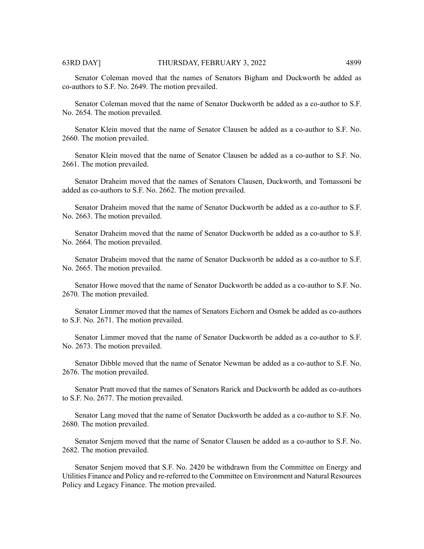Senator Coleman moved that the names of Senators Bigham and Duckworth be added as co-authors to S.F. No. 2649. The motion prevailed.

Senator Coleman moved that the name of Senator Duckworth be added as a co-author to S.F. No. 2654. The motion prevailed.

Senator Klein moved that the name of Senator Clausen be added as a co-author to S.F. No. 2660. The motion prevailed.

Senator Klein moved that the name of Senator Clausen be added as a co-author to S.F. No. 2661. The motion prevailed.

Senator Draheim moved that the names of Senators Clausen, Duckworth, and Tomassoni be added as co-authors to S.F. No. 2662. The motion prevailed.

Senator Draheim moved that the name of Senator Duckworth be added as a co-author to S.F. No. 2663. The motion prevailed.

Senator Draheim moved that the name of Senator Duckworth be added as a co-author to S.F. No. 2664. The motion prevailed.

Senator Draheim moved that the name of Senator Duckworth be added as a co-author to S.F. No. 2665. The motion prevailed.

Senator Howe moved that the name of Senator Duckworth be added as a co-author to S.F. No. 2670. The motion prevailed.

Senator Limmer moved that the names of Senators Eichorn and Osmek be added as co-authors to S.F. No. 2671. The motion prevailed.

Senator Limmer moved that the name of Senator Duckworth be added as a co-author to S.F. No. 2673. The motion prevailed.

Senator Dibble moved that the name of Senator Newman be added as a co-author to S.F. No. 2676. The motion prevailed.

Senator Pratt moved that the names of Senators Rarick and Duckworth be added as co-authors to S.F. No. 2677. The motion prevailed.

Senator Lang moved that the name of Senator Duckworth be added as a co-author to S.F. No. 2680. The motion prevailed.

Senator Senjem moved that the name of Senator Clausen be added as a co-author to S.F. No. 2682. The motion prevailed.

Senator Senjem moved that S.F. No. 2420 be withdrawn from the Committee on Energy and Utilities Finance and Policy and re-referred to the Committee on Environment and Natural Resources Policy and Legacy Finance. The motion prevailed.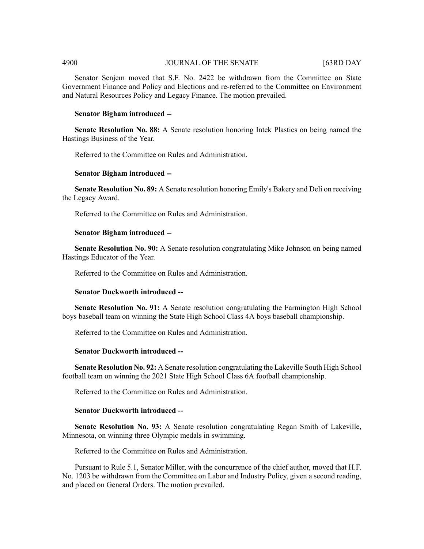# 4900 JOURNAL OF THE SENATE [63RD DAY

Senator Senjem moved that S.F. No. 2422 be withdrawn from the Committee on State Government Finance and Policy and Elections and re-referred to the Committee on Environment and Natural Resources Policy and Legacy Finance. The motion prevailed.

#### **Senator Bigham introduced --**

**Senate Resolution No. 88:** A Senate resolution honoring Intek Plastics on being named the Hastings Business of the Year.

Referred to the Committee on Rules and Administration.

### **Senator Bigham introduced --**

**Senate Resolution No. 89:** A Senate resolution honoring Emily's Bakery and Deli on receiving the Legacy Award.

Referred to the Committee on Rules and Administration.

#### **Senator Bigham introduced --**

**Senate Resolution No. 90:** A Senate resolution congratulating Mike Johnson on being named Hastings Educator of the Year.

Referred to the Committee on Rules and Administration.

#### **Senator Duckworth introduced --**

**Senate Resolution No. 91:** A Senate resolution congratulating the Farmington High School boys baseball team on winning the State High School Class 4A boys baseball championship.

Referred to the Committee on Rules and Administration.

## **Senator Duckworth introduced --**

**Senate Resolution No. 92:** A Senate resolution congratulating the Lakeville South High School football team on winning the 2021 State High School Class 6A football championship.

Referred to the Committee on Rules and Administration.

### **Senator Duckworth introduced --**

**Senate Resolution No. 93:** A Senate resolution congratulating Regan Smith of Lakeville, Minnesota, on winning three Olympic medals in swimming.

Referred to the Committee on Rules and Administration.

Pursuant to Rule 5.1, Senator Miller, with the concurrence of the chief author, moved that H.F. No. 1203 be withdrawn from the Committee on Labor and Industry Policy, given a second reading, and placed on General Orders. The motion prevailed.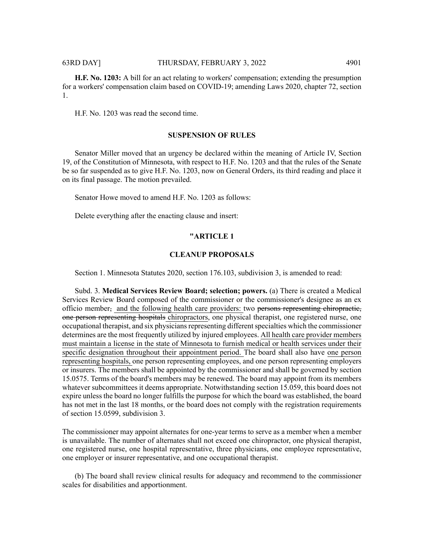**H.F. No. 1203:** A bill for an act relating to workers' compensation; extending the presumption for a workers' compensation claim based on COVID-19; amending Laws 2020, chapter 72, section 1.

H.F. No. 1203 was read the second time.

#### **SUSPENSION OF RULES**

Senator Miller moved that an urgency be declared within the meaning of Article IV, Section 19, of the Constitution of Minnesota, with respect to H.F. No. 1203 and that the rules of the Senate be so far suspended as to give H.F. No. 1203, now on General Orders, its third reading and place it on its final passage. The motion prevailed.

Senator Howe moved to amend H.F. No. 1203 as follows:

Delete everything after the enacting clause and insert:

# **"ARTICLE 1**

#### **CLEANUP PROPOSALS**

Section 1. Minnesota Statutes 2020, section 176.103, subdivision 3, is amended to read:

Subd. 3. **Medical Services Review Board; selection; powers.** (a) There is created a Medical Services Review Board composed of the commissioner or the commissioner's designee as an ex officio member, and the following health care providers: two persons representing chiropractic, one person representing hospitals chiropractors, one physical therapist, one registered nurse, one occupational therapist, and six physicians representing different specialties which the commissioner determines are the most frequently utilized by injured employees. All health care provider members must maintain a license in the state of Minnesota to furnish medical or health services under their specific designation throughout their appointment period. The board shall also have one person representing hospitals, one person representing employees, and one person representing employers or insurers. The members shall be appointed by the commissioner and shall be governed by section 15.0575. Terms of the board's members may be renewed. The board may appoint from its members whatever subcommittees it deems appropriate. Notwithstanding section 15.059, this board does not expire unless the board no longer fulfills the purpose for which the board was established, the board has not met in the last 18 months, or the board does not comply with the registration requirements of section 15.0599, subdivision 3.

The commissioner may appoint alternates for one-year terms to serve as a member when a member is unavailable. The number of alternates shall not exceed one chiropractor, one physical therapist, one registered nurse, one hospital representative, three physicians, one employee representative, one employer or insurer representative, and one occupational therapist.

(b) The board shall review clinical results for adequacy and recommend to the commissioner scales for disabilities and apportionment.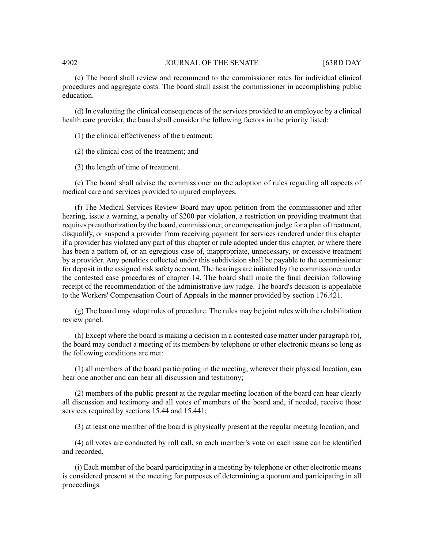# 4902 JOURNAL OF THE SENATE [63RD DAY

(c) The board shall review and recommend to the commissioner rates for individual clinical procedures and aggregate costs. The board shall assist the commissioner in accomplishing public education.

(d) In evaluating the clinical consequences of the services provided to an employee by a clinical health care provider, the board shall consider the following factors in the priority listed:

(1) the clinical effectiveness of the treatment;

(2) the clinical cost of the treatment; and

(3) the length of time of treatment.

(e) The board shall advise the commissioner on the adoption of rules regarding all aspects of medical care and services provided to injured employees.

(f) The Medical Services Review Board may upon petition from the commissioner and after hearing, issue a warning, a penalty of \$200 per violation, a restriction on providing treatment that requires preauthorization by the board, commissioner, or compensation judge for a plan of treatment, disqualify, or suspend a provider from receiving payment for services rendered under this chapter if a provider has violated any part of this chapter or rule adopted under this chapter, or where there has been a pattern of, or an egregious case of, inappropriate, unnecessary, or excessive treatment by a provider. Any penalties collected under this subdivision shall be payable to the commissioner for deposit in the assigned risk safety account. The hearings are initiated by the commissioner under the contested case procedures of chapter 14. The board shall make the final decision following receipt of the recommendation of the administrative law judge. The board's decision is appealable to the Workers' Compensation Court of Appeals in the manner provided by section 176.421.

(g) The board may adopt rules of procedure. The rules may be joint rules with the rehabilitation review panel.

(h) Except where the board is making a decision in a contested case matter under paragraph (b), the board may conduct a meeting of its members by telephone or other electronic means so long as the following conditions are met:

(1) all members of the board participating in the meeting, wherever their physical location, can hear one another and can hear all discussion and testimony;

(2) members of the public present at the regular meeting location of the board can hear clearly all discussion and testimony and all votes of members of the board and, if needed, receive those services required by sections 15.44 and 15.441;

(3) at least one member of the board is physically present at the regular meeting location; and

(4) all votes are conducted by roll call, so each member's vote on each issue can be identified and recorded.

(i) Each member of the board participating in a meeting by telephone or other electronic means is considered present at the meeting for purposes of determining a quorum and participating in all proceedings.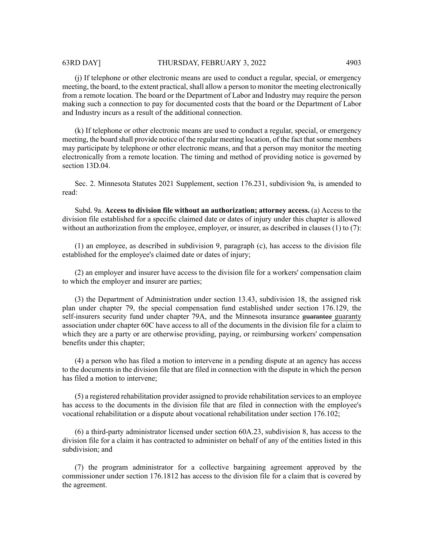(j) If telephone or other electronic means are used to conduct a regular, special, or emergency meeting, the board, to the extent practical, shall allow a person to monitor the meeting electronically from a remote location. The board or the Department of Labor and Industry may require the person making such a connection to pay for documented costs that the board or the Department of Labor and Industry incurs as a result of the additional connection.

(k) If telephone or other electronic means are used to conduct a regular, special, or emergency meeting, the board shall provide notice of the regular meeting location, of the fact thatsome members may participate by telephone or other electronic means, and that a person may monitor the meeting electronically from a remote location. The timing and method of providing notice is governed by section 13D.04.

Sec. 2. Minnesota Statutes 2021 Supplement, section 176.231, subdivision 9a, is amended to read:

Subd. 9a. **Access to division file without an authorization; attorney access.** (a) Access to the division file established for a specific claimed date or dates of injury under this chapter is allowed without an authorization from the employee, employer, or insurer, as described in clauses  $(1)$  to  $(7)$ :

(1) an employee, as described in subdivision 9, paragraph (c), has access to the division file established for the employee's claimed date or dates of injury;

(2) an employer and insurer have access to the division file for a workers' compensation claim to which the employer and insurer are parties;

(3) the Department of Administration under section 13.43, subdivision 18, the assigned risk plan under chapter 79, the special compensation fund established under section 176.129, the self-insurers security fund under chapter 79A, and the Minnesota insurance guarantee guaranty association under chapter 60C have access to all of the documents in the division file for a claim to which they are a party or are otherwise providing, paying, or reimbursing workers' compensation benefits under this chapter;

(4) a person who has filed a motion to intervene in a pending dispute at an agency has access to the documents in the division file that are filed in connection with the dispute in which the person has filed a motion to intervene;

(5) a registered rehabilitation provider assigned to provide rehabilitation services to an employee has access to the documents in the division file that are filed in connection with the employee's vocational rehabilitation or a dispute about vocational rehabilitation under section 176.102;

(6) a third-party administrator licensed under section 60A.23, subdivision 8, has access to the division file for a claim it has contracted to administer on behalf of any of the entities listed in this subdivision; and

(7) the program administrator for a collective bargaining agreement approved by the commissioner under section 176.1812 has access to the division file for a claim that is covered by the agreement.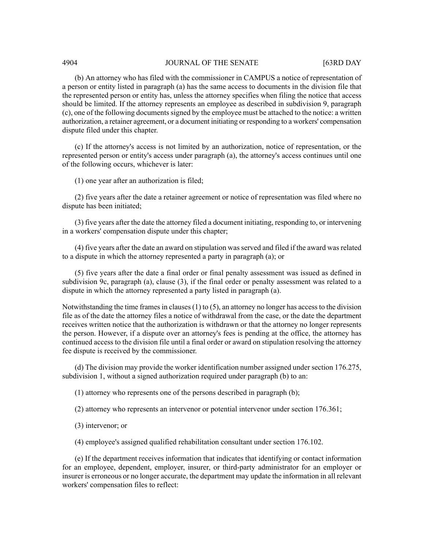#### 4904 JOURNAL OF THE SENATE [63RD DAY

(b) An attorney who has filed with the commissioner in CAMPUS a notice of representation of a person or entity listed in paragraph (a) has the same access to documents in the division file that the represented person or entity has, unless the attorney specifies when filing the notice that access should be limited. If the attorney represents an employee as described in subdivision 9, paragraph (c), one of the following documentssigned by the employee must be attached to the notice: a written authorization, a retainer agreement, or a document initiating or responding to a workers' compensation dispute filed under this chapter.

(c) If the attorney's access is not limited by an authorization, notice of representation, or the represented person or entity's access under paragraph (a), the attorney's access continues until one of the following occurs, whichever is later:

(1) one year after an authorization is filed;

(2) five years after the date a retainer agreement or notice of representation was filed where no dispute has been initiated;

(3) five years after the date the attorney filed a document initiating, responding to, or intervening in a workers' compensation dispute under this chapter;

(4) five years after the date an award on stipulation was served and filed if the award was related to a dispute in which the attorney represented a party in paragraph (a); or

(5) five years after the date a final order or final penalty assessment was issued as defined in subdivision 9c, paragraph (a), clause (3), if the final order or penalty assessment was related to a dispute in which the attorney represented a party listed in paragraph (a).

Notwithstanding the time frames in clauses  $(1)$  to  $(5)$ , an attorney no longer has access to the division file as of the date the attorney files a notice of withdrawal from the case, or the date the department receives written notice that the authorization is withdrawn or that the attorney no longer represents the person. However, if a dispute over an attorney's fees is pending at the office, the attorney has continued access to the division file until a final order or award on stipulation resolving the attorney fee dispute is received by the commissioner.

(d) The division may provide the worker identification number assigned under section 176.275, subdivision 1, without a signed authorization required under paragraph (b) to an:

(1) attorney who represents one of the persons described in paragraph (b);

(2) attorney who represents an intervenor or potential intervenor under section 176.361;

(3) intervenor; or

(4) employee's assigned qualified rehabilitation consultant under section 176.102.

(e) If the department receives information that indicates that identifying or contact information for an employee, dependent, employer, insurer, or third-party administrator for an employer or insurer is erroneous or no longer accurate, the department may update the information in all relevant workers' compensation files to reflect: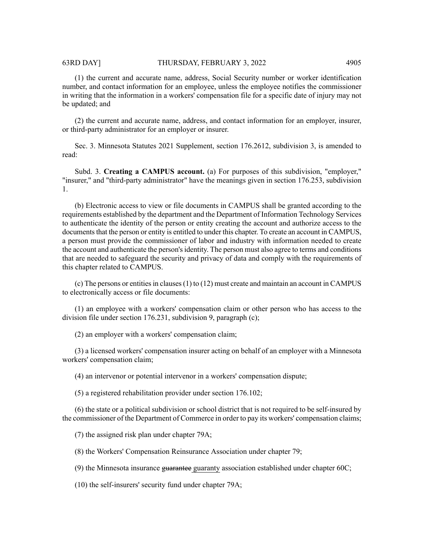(1) the current and accurate name, address, Social Security number or worker identification number, and contact information for an employee, unless the employee notifies the commissioner in writing that the information in a workers' compensation file for a specific date of injury may not be updated; and

(2) the current and accurate name, address, and contact information for an employer, insurer, or third-party administrator for an employer or insurer.

Sec. 3. Minnesota Statutes 2021 Supplement, section 176.2612, subdivision 3, is amended to read:

Subd. 3. **Creating a CAMPUS account.** (a) For purposes of this subdivision, "employer," "insurer," and "third-party administrator" have the meanings given in section 176.253, subdivision 1.

(b) Electronic access to view or file documents in CAMPUS shall be granted according to the requirements established by the department and the Department of Information Technology Services to authenticate the identity of the person or entity creating the account and authorize access to the documents that the person or entity is entitled to under this chapter. To create an account in CAMPUS, a person must provide the commissioner of labor and industry with information needed to create the account and authenticate the person'sidentity. The person must also agree to terms and conditions that are needed to safeguard the security and privacy of data and comply with the requirements of this chapter related to CAMPUS.

(c) The persons or entities in clauses  $(1)$  to  $(12)$  must create and maintain an account in CAMPUS to electronically access or file documents:

(1) an employee with a workers' compensation claim or other person who has access to the division file under section 176.231, subdivision 9, paragraph (c);

(2) an employer with a workers' compensation claim;

(3) a licensed workers' compensation insurer acting on behalf of an employer with a Minnesota workers' compensation claim;

(4) an intervenor or potential intervenor in a workers' compensation dispute;

(5) a registered rehabilitation provider under section 176.102;

(6) the state or a political subdivision or school district that is not required to be self-insured by the commissioner of the Department of Commerce in order to pay its workers' compensation claims;

(7) the assigned risk plan under chapter 79A;

(8) the Workers' Compensation Reinsurance Association under chapter 79;

(9) the Minnesota insurance guarantee guaranty association established under chapter  $60C$ ;

(10) the self-insurers' security fund under chapter 79A;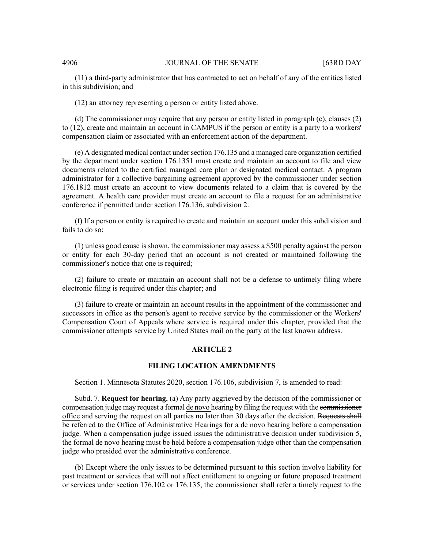#### 4906 **JOURNAL OF THE SENATE** [63RD DAY

(11) a third-party administrator that has contracted to act on behalf of any of the entities listed in this subdivision; and

(12) an attorney representing a person or entity listed above.

(d) The commissioner may require that any person or entity listed in paragraph (c), clauses (2) to (12), create and maintain an account in CAMPUS if the person or entity is a party to a workers' compensation claim or associated with an enforcement action of the department.

(e) A designated medical contact under section 176.135 and a managed care organization certified by the department under section 176.1351 must create and maintain an account to file and view documents related to the certified managed care plan or designated medical contact. A program administrator for a collective bargaining agreement approved by the commissioner under section 176.1812 must create an account to view documents related to a claim that is covered by the agreement. A health care provider must create an account to file a request for an administrative conference if permitted under section 176.136, subdivision 2.

(f) If a person or entity is required to create and maintain an account under this subdivision and fails to do so:

(1) unless good cause is shown, the commissioner may assess a \$500 penalty against the person or entity for each 30-day period that an account is not created or maintained following the commissioner's notice that one is required;

(2) failure to create or maintain an account shall not be a defense to untimely filing where electronic filing is required under this chapter; and

(3) failure to create or maintain an account results in the appointment of the commissioner and successors in office as the person's agent to receive service by the commissioner or the Workers' Compensation Court of Appeals where service is required under this chapter, provided that the commissioner attempts service by United States mail on the party at the last known address.

### **ARTICLE 2**

### **FILING LOCATION AMENDMENTS**

Section 1. Minnesota Statutes 2020, section 176.106, subdivision 7, is amended to read:

Subd. 7. **Request for hearing.** (a) Any party aggrieved by the decision of the commissioner or compensation judge may request a formal de novo hearing by filing the request with the commissioner office and serving the request on all parties no later than 30 days after the decision. Requests shall be referred to the Office of Administrative Hearings for a de novo hearing before a compensation judge. When a compensation judge issued issues the administrative decision under subdivision 5, the formal de novo hearing must be held before a compensation judge other than the compensation judge who presided over the administrative conference.

(b) Except where the only issues to be determined pursuant to this section involve liability for past treatment or services that will not affect entitlement to ongoing or future proposed treatment or services under section 176.102 or 176.135, the commissioner shall refer a timely request to the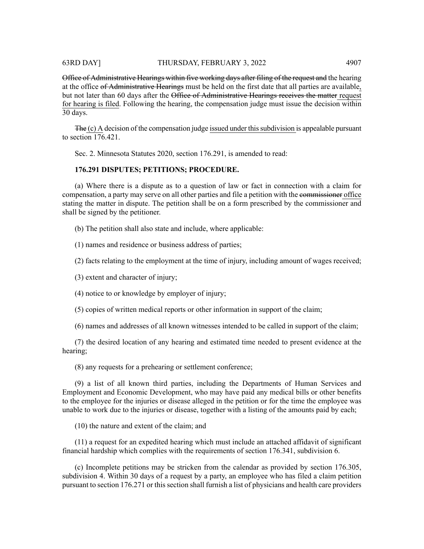Office of Administrative Hearings within five working days after filing of the request and the hearing at the office of Administrative Hearings must be held on the first date that all parties are available, but not later than 60 days after the Office of Administrative Hearings receives the matter request for hearing is filed. Following the hearing, the compensation judge must issue the decision within 30 days.

 $F<sub>He</sub>(c)$  A decision of the compensation judge issued under this subdivision is appealable pursuant to section 176.421.

Sec. 2. Minnesota Statutes 2020, section 176.291, is amended to read:

# **176.291 DISPUTES; PETITIONS; PROCEDURE.**

(a) Where there is a dispute as to a question of law or fact in connection with a claim for compensation, a party may serve on all other parties and file a petition with the commissioner office stating the matter in dispute. The petition shall be on a form prescribed by the commissioner and shall be signed by the petitioner.

(b) The petition shall also state and include, where applicable:

(1) names and residence or business address of parties;

(2) facts relating to the employment at the time of injury, including amount of wages received;

(3) extent and character of injury;

(4) notice to or knowledge by employer of injury;

(5) copies of written medical reports or other information in support of the claim;

(6) names and addresses of all known witnesses intended to be called in support of the claim;

(7) the desired location of any hearing and estimated time needed to present evidence at the hearing;

(8) any requests for a prehearing or settlement conference;

(9) a list of all known third parties, including the Departments of Human Services and Employment and Economic Development, who may have paid any medical bills or other benefits to the employee for the injuries or disease alleged in the petition or for the time the employee was unable to work due to the injuries or disease, together with a listing of the amounts paid by each;

(10) the nature and extent of the claim; and

(11) a request for an expedited hearing which must include an attached affidavit of significant financial hardship which complies with the requirements of section 176.341, subdivision 6.

(c) Incomplete petitions may be stricken from the calendar as provided by section 176.305, subdivision 4. Within 30 days of a request by a party, an employee who has filed a claim petition pursuant to section 176.271 or this section shall furnish a list of physicians and health care providers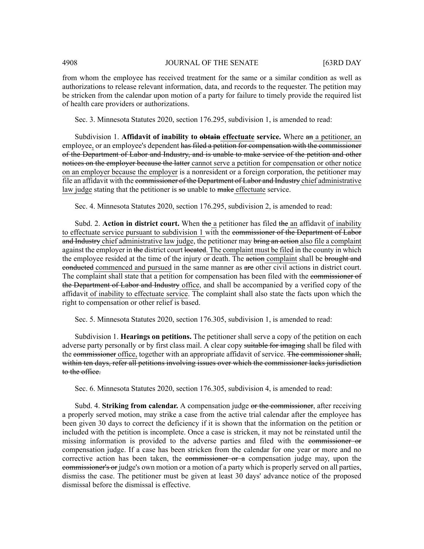from whom the employee has received treatment for the same or a similar condition as well as authorizations to release relevant information, data, and records to the requester. The petition may be stricken from the calendar upon motion of a party for failure to timely provide the required list of health care providers or authorizations.

Sec. 3. Minnesota Statutes 2020, section 176.295, subdivision 1, is amended to read:

Subdivision 1. **Affidavit of inability to obtain effectuate service.** Where an a petitioner, an employee, or an employee's dependent has filed a petition for compensation with the commissioner of the Department of Labor and Industry, and is unable to make service of the petition and other notices on the employer because the latter cannot serve a petition for compensation or other notice on an employer because the employer is a nonresident or a foreign corporation, the petitioner may file an affidavit with the commissioner of the Department of Labor and Industry chief administrative law judge stating that the petitioner is  $\frac{1}{100}$  unable to  $\frac{1}{100}$  make effectuate service.

Sec. 4. Minnesota Statutes 2020, section 176.295, subdivision 2, is amended to read:

Subd. 2. **Action in district court.** When the a petitioner has filed the an affidavit of inability to effectuate service pursuant to subdivision 1 with the commissioner of the Department of Labor and Industry chief administrative law judge, the petitioner may bring an action also file a complaint against the employer in the district court located. The complaint must be filed in the county in which the employee resided at the time of the injury or death. The action complaint shall be brought and eonducted commenced and pursued in the same manner as are other civil actions in district court. The complaint shall state that a petition for compensation has been filed with the commissioner of the Department of Labor and Industry office, and shall be accompanied by a verified copy of the affidavit of inability to effectuate service. The complaint shall also state the facts upon which the right to compensation or other relief is based.

Sec. 5. Minnesota Statutes 2020, section 176.305, subdivision 1, is amended to read:

Subdivision 1. **Hearings on petitions.** The petitioner shall serve a copy of the petition on each adverse party personally or by first class mail. A clear copy suitable for imaging shall be filed with the commissioner office, together with an appropriate affidavit of service. The commissioner shall, within ten days, refer all petitions involving issues over which the commissioner lacks jurisdiction to the office.

Sec. 6. Minnesota Statutes 2020, section 176.305, subdivision 4, is amended to read:

Subd. 4. **Striking from calendar.** A compensation judge or the commissioner, after receiving a properly served motion, may strike a case from the active trial calendar after the employee has been given 30 days to correct the deficiency if it is shown that the information on the petition or included with the petition is incomplete. Once a case is stricken, it may not be reinstated until the missing information is provided to the adverse parties and filed with the commissioner or compensation judge. If a case has been stricken from the calendar for one year or more and no corrective action has been taken, the commissioner or  $a$  compensation judge may, upon the **commissioner's or** judge's own motion or a motion of a party which is properly served on all parties, dismiss the case. The petitioner must be given at least 30 days' advance notice of the proposed dismissal before the dismissal is effective.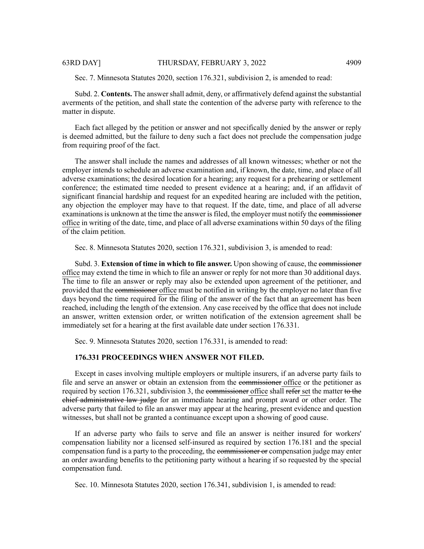Sec. 7. Minnesota Statutes 2020, section 176.321, subdivision 2, is amended to read:

Subd. 2. **Contents.** The answershall admit, deny, or affirmatively defend against the substantial averments of the petition, and shall state the contention of the adverse party with reference to the matter in dispute.

Each fact alleged by the petition or answer and not specifically denied by the answer or reply is deemed admitted, but the failure to deny such a fact does not preclude the compensation judge from requiring proof of the fact.

The answer shall include the names and addresses of all known witnesses; whether or not the employer intends to schedule an adverse examination and, if known, the date, time, and place of all adverse examinations; the desired location for a hearing; any request for a prehearing or settlement conference; the estimated time needed to present evidence at a hearing; and, if an affidavit of significant financial hardship and request for an expedited hearing are included with the petition, any objection the employer may have to that request. If the date, time, and place of all adverse examinations is unknown at the time the answer is filed, the employer must notify the commissioner office in writing of the date, time, and place of all adverse examinations within 50 days of the filing of the claim petition.

Sec. 8. Minnesota Statutes 2020, section 176.321, subdivision 3, is amended to read:

Subd. 3. **Extension of time in which to file answer.** Upon showing of cause, the commissioner office may extend the time in which to file an answer or reply for not more than 30 additional days. The time to file an answer or reply may also be extended upon agreement of the petitioner, and provided that the commissioner office must be notified in writing by the employer no later than five days beyond the time required for the filing of the answer of the fact that an agreement has been reached, including the length of the extension. Any case received by the office that does not include an answer, written extension order, or written notification of the extension agreement shall be immediately set for a hearing at the first available date under section 176.331.

Sec. 9. Minnesota Statutes 2020, section 176.331, is amended to read:

#### **176.331 PROCEEDINGS WHEN ANSWER NOT FILED.**

Except in cases involving multiple employers or multiple insurers, if an adverse party fails to file and serve an answer or obtain an extension from the commissioner office or the petitioner as required by section 176.321, subdivision 3, the commissioner office shall refer set the matter to the chief administrative law judge for an immediate hearing and prompt award or other order. The adverse party that failed to file an answer may appear at the hearing, present evidence and question witnesses, but shall not be granted a continuance except upon a showing of good cause.

If an adverse party who fails to serve and file an answer is neither insured for workers' compensation liability nor a licensed self-insured as required by section 176.181 and the special compensation fund is a party to the proceeding, the eommissioner or compensation judge may enter an order awarding benefits to the petitioning party without a hearing if so requested by the special compensation fund.

Sec. 10. Minnesota Statutes 2020, section 176.341, subdivision 1, is amended to read: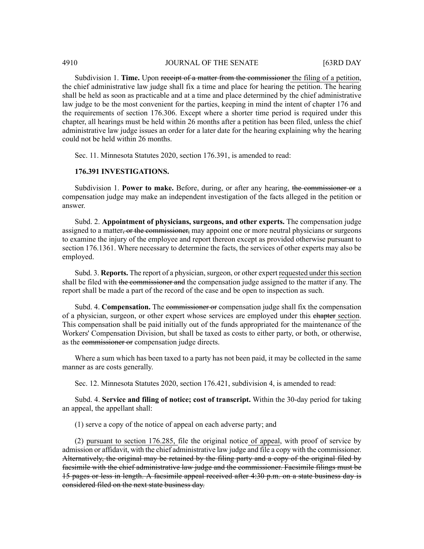Subdivision 1. **Time.** Upon receipt of a matter from the commissioner the filing of a petition, the chief administrative law judge shall fix a time and place for hearing the petition. The hearing shall be held as soon as practicable and at a time and place determined by the chief administrative law judge to be the most convenient for the parties, keeping in mind the intent of chapter 176 and the requirements of section 176.306. Except where a shorter time period is required under this chapter, all hearings must be held within 26 months after a petition has been filed, unless the chief administrative law judge issues an order for a later date for the hearing explaining why the hearing could not be held within 26 months.

Sec. 11. Minnesota Statutes 2020, section 176.391, is amended to read:

# **176.391 INVESTIGATIONS.**

Subdivision 1. **Power to make.** Before, during, or after any hearing, the commissioner or a compensation judge may make an independent investigation of the facts alleged in the petition or answer.

Subd. 2. **Appointment of physicians, surgeons, and other experts.** The compensation judge assigned to a matter, or the commissioner, may appoint one or more neutral physicians or surgeons to examine the injury of the employee and report thereon except as provided otherwise pursuant to section 176.1361. Where necessary to determine the facts, the services of other experts may also be employed.

Subd. 3. **Reports.** The report of a physician, surgeon, or other expert requested under this section shall be filed with the commissioner and the compensation judge assigned to the matter if any. The report shall be made a part of the record of the case and be open to inspection as such.

Subd. 4. **Compensation.** The commissioner or compensation judge shall fix the compensation of a physician, surgeon, or other expert whose services are employed under this enterpresection. This compensation shall be paid initially out of the funds appropriated for the maintenance of the Workers' Compensation Division, but shall be taxed as costs to either party, or both, or otherwise, as the commissioner or compensation judge directs.

Where a sum which has been taxed to a party has not been paid, it may be collected in the same manner as are costs generally.

Sec. 12. Minnesota Statutes 2020, section 176.421, subdivision 4, is amended to read:

Subd. 4. **Service and filing of notice; cost of transcript.** Within the 30-day period for taking an appeal, the appellant shall:

(1) serve a copy of the notice of appeal on each adverse party; and

(2) pursuant to section 176.285, file the original notice of appeal, with proof of service by admission or affidavit, with the chief administrative law judge and file a copy with the commissioner. Alternatively, the original may be retained by the filing party and a copy of the original filed by facsimile with the chief administrative law judge and the commissioner. Facsimile filings must be 15 pages or less in length. A facsimile appeal received after 4:30 p.m. on a state business day is considered filed on the next state business day.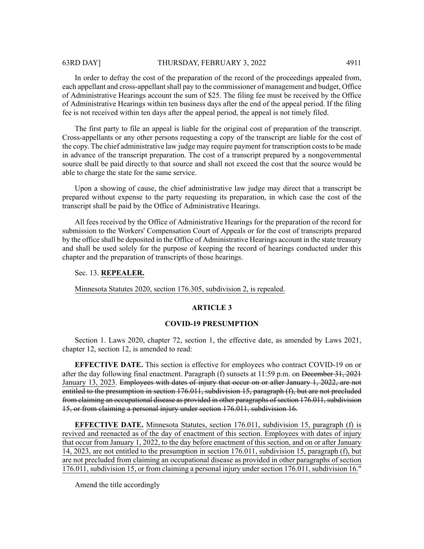In order to defray the cost of the preparation of the record of the proceedings appealed from, each appellant and cross-appellant shall pay to the commissioner of management and budget, Office of Administrative Hearings account the sum of \$25. The filing fee must be received by the Office of Administrative Hearings within ten business days after the end of the appeal period. If the filing fee is not received within ten days after the appeal period, the appeal is not timely filed.

The first party to file an appeal is liable for the original cost of preparation of the transcript. Cross-appellants or any other persons requesting a copy of the transcript are liable for the cost of the copy. The chief administrative law judge may require payment for transcription costs to be made in advance of the transcript preparation. The cost of a transcript prepared by a nongovernmental source shall be paid directly to that source and shall not exceed the cost that the source would be able to charge the state for the same service.

Upon a showing of cause, the chief administrative law judge may direct that a transcript be prepared without expense to the party requesting its preparation, in which case the cost of the transcript shall be paid by the Office of Administrative Hearings.

All fees received by the Office of Administrative Hearings for the preparation of the record for submission to the Workers' Compensation Court of Appeals or for the cost of transcripts prepared by the office shall be deposited in the Office of Administrative Hearings account in the state treasury and shall be used solely for the purpose of keeping the record of hearings conducted under this chapter and the preparation of transcripts of those hearings.

# Sec. 13. **REPEALER.**

Minnesota Statutes 2020, section 176.305, subdivision 2, is repealed.

#### **ARTICLE 3**

#### **COVID-19 PRESUMPTION**

Section 1. Laws 2020, chapter 72, section 1, the effective date, as amended by Laws 2021, chapter 12, section 12, is amended to read:

**EFFECTIVE DATE.** This section is effective for employees who contract COVID-19 on or after the day following final enactment. Paragraph (f) sunsets at 11:59 p.m. on December 31, 2021 January 13, 2023. Employees with dates of injury that occur on or after January 1, 2022, are not entitled to the presumption in section 176.011, subdivision 15, paragraph (f), but are not precluded from claiming an occupational disease as provided in other paragraphs of section 176.011, subdivision 15, or from claiming a personal injury under section 176.011, subdivision 16.

**EFFECTIVE DATE.** Minnesota Statutes, section 176.011, subdivision 15, paragraph (f) is revived and reenacted as of the day of enactment of this section. Employees with dates of injury that occur from January 1, 2022, to the day before enactment of this section, and on or after January 14, 2023, are not entitled to the presumption in section 176.011, subdivision 15, paragraph (f), but are not precluded from claiming an occupational disease as provided in other paragraphs of section 176.011, subdivision 15, or from claiming a personal injury under section 176.011, subdivision 16."

Amend the title accordingly